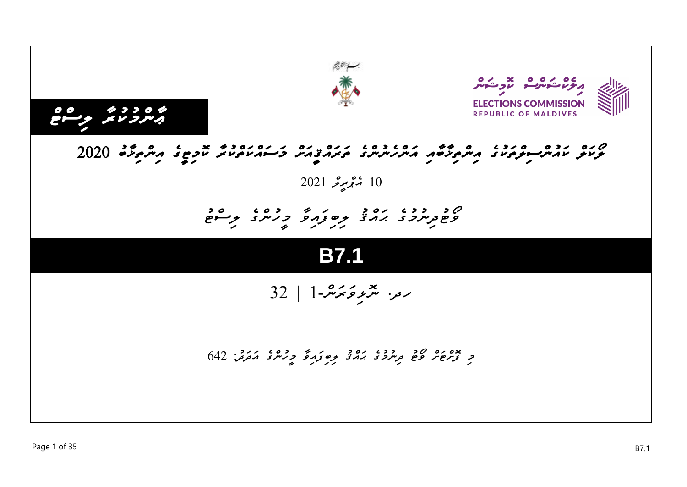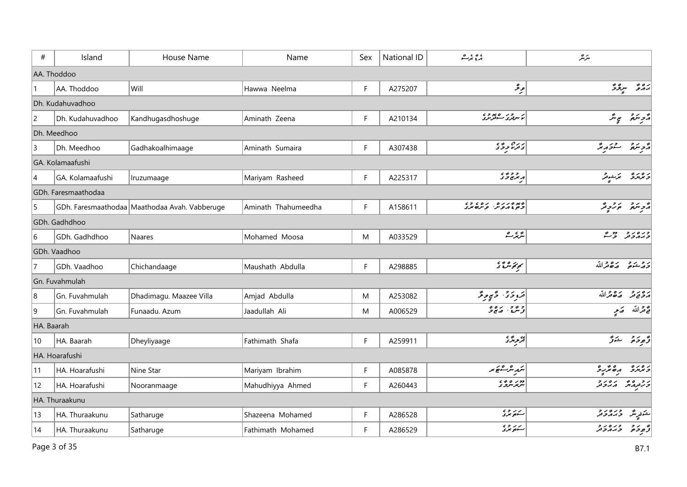| #          | Island              | House Name                                    | Name                | Sex       | National ID | ، ه ، پر <u>ه</u>                | ىئرىتر                                       |
|------------|---------------------|-----------------------------------------------|---------------------|-----------|-------------|----------------------------------|----------------------------------------------|
|            | AA. Thoddoo         |                                               |                     |           |             |                                  |                                              |
|            | AA. Thoddoo         | Will                                          | Hawwa Neelma        | F         | A275207     | عر ش                             | پروی سروی                                    |
|            | Dh. Kudahuvadhoo    |                                               |                     |           |             |                                  |                                              |
|            | Dh. Kudahuvadhoo    | Kandhugasdhoshuge                             | Aminath Zeena       | F         | A210134     | ر<br>رکا سرچری کست توسرس         | ړٌ د سَهُ پِسٌ                               |
|            | Dh. Meedhoo         |                                               |                     |           |             |                                  |                                              |
| 3          | Dh. Meedhoo         | Gadhakoalhimaage                              | Aminath Sumaira     | F         | A307438     | ر ره<br>د تدر عرقر               | سترد بر<br>رًّ تر سَرَه ژ                    |
|            | GA. Kolamaafushi    |                                               |                     |           |             |                                  |                                              |
| 14         | GA. Kolamaafushi    | Iruzumaage                                    | Mariyam Rasheed     | F         | A225317     | د و و د  ي<br>د برج څ ک          | ر ه ر ه<br><del>ر</del> بربر ژ<br>كرشوقر     |
|            | GDh. Faresmaathodaa |                                               |                     |           |             |                                  |                                              |
| 5          |                     | GDh. Faresmaathodaa Maathodaa Avah. Vabberuge | Aminath Thahumeedha | F         | A158611     | پر پر رہ دہ دہ<br>وی موتر ویں پر | ړې سره د کارې تر                             |
|            | GDh. Gadhdhoo       |                                               |                     |           |             |                                  |                                              |
| 6          | GDh. Gadhdhoo       | <b>Naares</b>                                 | Mohamed Moosa       | M         | A033529     | پر پڑے<br>متر <i>پڑ</i> ے        | ورەرو دورو                                   |
|            | GDh. Vaadhoo        |                                               |                     |           |             |                                  |                                              |
|            | GDh. Vaadhoo        | Chichandaage                                  | Maushath Abdulla    | F         | A298885     | ى ئەسىمى ئ                       | رورو روورالله                                |
|            | Gn. Fuvahmulah      |                                               |                     |           |             |                                  |                                              |
| 8          | Gn. Fuvahmulah      | Dhadimagu. Maazee Villa                       | Amjad Abdulla       | ${\sf M}$ | A253082     | قروتري ومجموعة                   | أروره روقه الله                              |
| 9          | Gn. Fuvahmulah      | Funaadu. Azum                                 | Jaadullah Ali       | M         | A006529     | د ور ده وه<br>نوشن په پرې        | قريرالله كدمج                                |
| HA. Baarah |                     |                                               |                     |           |             |                                  |                                              |
| 10         | HA. Baarah          | Dheyliyaage                                   | Fathimath Shafa     | F         | A259911     | ر<br>ترم پر د                    | و د د ک                                      |
|            | HA. Hoarafushi      |                                               |                     |           |             |                                  |                                              |
| 11         | HA. Hoarafushi      | Nine Star                                     | Mariyam Ibrahim     | F         | A085878     | ىئىدىشرىشقى ئىر                  | ر ه ر ه<br>تر برگ<br>ەرھ ئرىر ۋ              |
| 12         | HA. Hoarafushi      | Nooranmaage                                   | Mahudhiyya Ahmed    | F         | A260443     | دور ه د »<br>سرپرسرچر            | נכנסת הפניק<br>בלטמת הגבע                    |
|            | HA. Thuraakunu      |                                               |                     |           |             |                                  |                                              |
| 13         | HA. Thuraakunu      | Satharuge                                     | Shazeena Mohamed    | F         | A286528     | ر ر و د<br>سومونوی               | ڪو <sub>ٽو</sub> سگر<br>و ره ر و<br>تر پروتر |
| 14         | HA. Thuraakunu      | Satharuge                                     | Fathimath Mohamed   | F         | A286529     | ے ر و ی<br>سکھی مور              | ه پر د<br>رچونو<br>و بره بر و<br>تر برگرفتر  |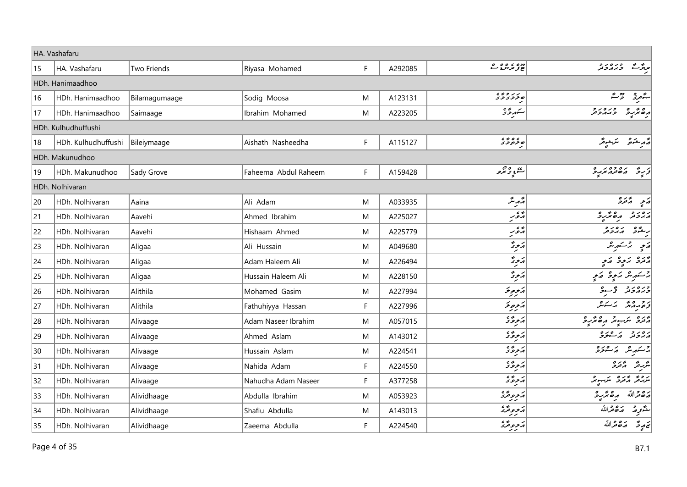|    | HA. Vashafaru                   |                    |                      |    |         |                                     |                         |
|----|---------------------------------|--------------------|----------------------|----|---------|-------------------------------------|-------------------------|
| 15 | HA. Vashafaru                   | <b>Two Friends</b> | Riyasa Mohamed       | F  | A292085 | دده ، ه ه ه م                       | بروگ وره دو             |
|    | HDh. Hanimaadhoo                |                    |                      |    |         |                                     |                         |
| 16 | HDh. Hanimaadhoo                | Bilamagumaage      | Sodig Moosa          | M  | A123131 | ر ر د د ›<br>م <del>ز</del> ر د د د | سەمەتى ئەسەت<br>مەسىر   |
| 17 | HDh. Hanimaadhoo                | Saimaage           | Ibrahim Mohamed      | M  | A223205 | ستهردى                              |                         |
|    | HDh. Kulhudhuffushi             |                    |                      |    |         |                                     |                         |
| 18 | HDh. Kulhudhuffushi Bileiymaage |                    | Aishath Nasheedha    | F  | A115127 | 55550                               | مەم ئىكىمى سىر ئىسى قىر |
|    | HDh. Makunudhoo                 |                    |                      |    |         |                                     |                         |
| 19 | HDh. Makunudhoo                 | Sady Grove         | Faheema Abdul Raheem | F  | A159428 | اسو وه<br>اڪوپونو                   | تر و ماه ده و ده مرد و  |
|    | HDh. Nolhivaran                 |                    |                      |    |         |                                     |                         |
| 20 | HDh. Nolhivaran                 | Aaina              | Ali Adam             | M  | A033935 | ړم پتر                              | پر په په پرو            |
| 21 | HDh. Nolhivaran                 | Aavehi             | Ahmed Ibrahim        | M  | A225027 | ە ئە<br>مەھ                         |                         |
| 22 | HDh. Nolhivaran                 | Aavehi             | Hishaam Ahmed        | M  | A225779 | وء<br>مرھ پر                        | ريده رورد               |
| 23 | HDh. Nolhivaran                 | Aligaa             | Ali Hussain          | M  | A049680 | پروگه                               | ەكىيە ئەسكىرىنگر        |
| 24 | HDh. Nolhivaran                 | Aligaa             | Adam Haleem Ali      | M  | A226494 | بزير                                | أرتروا برواوا أروا      |
| 25 | HDh. Nolhivaran                 | Aligaa             | Hussain Haleem Ali   | M  | A228150 | بزيرة                               | يرجمر يحري كالمحموم     |
| 26 | HDh. Nolhivaran                 | Alithila           | Mohamed Gasim        | M  | A227994 | وكمعرموكحه                          | ورەرو كۆسۈ              |
| 27 | HDh. Nolhivaran                 | Alithila           | Fathuhiyya Hassan    | F. | A227996 | لأحرموخه                            | رو ەپر ئەسكىر           |
| 28 | HDh. Nolhivaran                 | Alivaage           | Adam Naseer Ibrahim  | M  | A057015 | ەموەر                               | وزه سرب وه و و          |
| 29 | HDh. Nolhivaran                 | Alivaage           | Ahmed Aslam          | M  | A143012 | پر پر پر                            | رەرو بەرەرە             |
| 30 | HDh. Nolhivaran                 | Alivaage           | Hussain Aslam        | M  | A224541 | پزیره ی                             | برسكر مركب برائد وره    |
| 31 | HDh. Nolhivaran                 | Alivaage           | Nahida Adam          | F  | A224550 | پروژه                               | ىئرىر ئەنزۈ             |
| 32 | HDh. Nolhivaran                 | Alivaage           | Nahudha Adam Naseer  | F  | A377258 | پر وي<br>پر وي                      | ىردۇ. ئۇنىڭ ئىرسونى     |
| 33 | HDh. Nolhivaran                 | Alividhaage        | Abdulla Ibrahim      | M  | A053923 | أروء ورء                            | مقصرالله مصريح          |
| 34 | HDh. Nolhivaran                 | Alividhaage        | Shafiu Abdulla       | M  | A143013 | پر حروری<br>                        | شور ره دالله            |
| 35 | HDh. Nolhivaran                 | Alividhaage        | Zaeema Abdulla       | F  | A224540 | پروونژی                             | ىم يەڭ سەھ قىراللە      |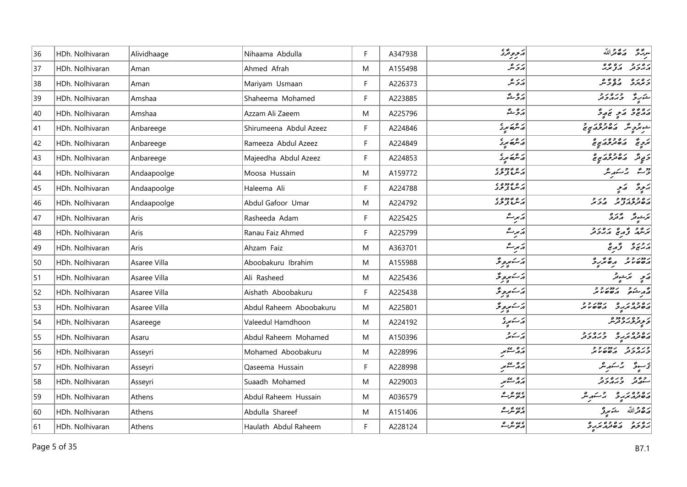| 36 | HDh. Nolhivaran | Alividhaage  | Nihaama Abdulla         | F  | A347938 | أروء ورمى                 | البرجة المقادرة                                         |
|----|-----------------|--------------|-------------------------|----|---------|---------------------------|---------------------------------------------------------|
| 37 | HDh. Nolhivaran | Aman         | Ahmed Afrah             | M  | A155498 | برىر ھ                    | ره رو ده ده.<br>مدرو مرو برر                            |
| 38 | HDh. Nolhivaran | Aman         | Mariyam Usmaan          | F  | A226373 | برىر ھ                    | ג פג פ ב פ ב ס.<br>ב <i>ב הגר ב ה ה ב ב יית</i>         |
| 39 | HDh. Nolhivaran | Amshaa       | Shaheema Mohamed        | F. | A223885 | ىرۋىتە                    | هندر مح<br> <br>ور ەر د<br>تر <i>پر پ</i> ر تر          |
| 40 | HDh. Nolhivaran | Amshaa       | Azzam Ali Zaeem         | M  | A225796 | رەپە                      | $396$ $253$                                             |
| 41 | HDh. Nolhivaran | Anbareege    | Shirumeena Abdul Azeez  | F  | A224846 | پر چې پېرنه               | شور حرح مگر ده وه در ح<br>شور حرح مگر در هانگر قرانی می |
| 42 | HDh. Nolhivaran | Anbareege    | Rameeza Abdul Azeez     | F  | A224849 | <br>  پر سرچ سری          | ره وه د ره<br>مان <i>هر څوه</i> نې ی<br>بئرجرتج         |
| 43 | HDh. Nolhivaran | Anbareege    | Majeedha Abdul Azeez    | F  | A224853 | ر ەر<br>ئەسھەمرى          | <br>  دَيِ تَرُ   دەرور يې چ                            |
| 44 | HDh. Nolhivaran | Andaapoolge  | Moosa Hussain           | M  | A159772 | ر ۵ ۶۶ وه ۷<br>د سره بومر | وحرف بر مس <sub>کو</sub> ر مثر                          |
| 45 | HDh. Nolhivaran | Andaapoolge  | Haleema Ali             | F. | A224788 | ر ۵ ۶۶۵ و.<br>پرس بې مر   | أيزوق أرواح                                             |
| 46 | HDh. Nolhivaran | Andaapoolge  | Abdul Gafoor Umar       | M  | A224792 | ر ۵ ۶۶ وه ۷<br>د سره بومر | נ ס ב ס ג ב ב ב ב ב<br>גם ב ב ב ב ב ב ב                 |
| 47 | HDh. Nolhivaran | Aris         | Rasheeda Adam           | F  | A225425 | اړېږ شه                   | ىرىشونر گەنزۈ                                           |
| 48 | HDh. Nolhivaran | Aris         | Ranau Faiz Ahmed        | F  | A225799 | ارىبە                     | برشم توریح متحصر                                        |
| 49 | HDh. Nolhivaran | Aris         | Ahzam Faiz              | M  | A363701 | ارىمەت                    | بروره ومرمح                                             |
| 50 | HDh. Nolhivaran | Asaree Villa | Aboobakuru Ibrahim      | M  | A155988 | <br> د سنهورو محر         |                                                         |
| 51 | HDh. Nolhivaran | Asaree Villa | Ali Rasheed             | M  | A225436 | ۇ سەبىرە بۇ               | أرشح المخرجون                                           |
| 52 | HDh. Nolhivaran | Asaree Villa | Aishath Aboobakuru      | F  | A225438 | ە سەمبەء قە               | מגני גדי ברי בר                                         |
| 53 | HDh. Nolhivaran | Asaree Villa | Abdul Raheem Aboobakuru | M  | A225801 | <br> دسسمبره محر          | גם כם גם גברג כב<br>גם מגא מגיב גם סמים                 |
| 54 | HDh. Nolhivaran | Asareege     | Valeedul Hamdhoon       | M  | A224192 | ېز سه پېړۍ<br>په          | ر وه رودوه<br>و د ترتر د ترس                            |
| 55 | HDh. Nolhivaran | Asaru        | Abdul Raheem Mohamed    | M  | A150396 | ەرىسىتىر                  | גם כם גם בגם גב<br>הסטה <i>הגב</i> כגהכת                |
| 56 | HDh. Nolhivaran | Asseyri      | Mohamed Aboobakuru      | M  | A228996 | لئەرىئىمر                 | כנסנכ נחנכב<br>בגתכת תםסטת                              |
| 57 | HDh. Nolhivaran | Asseyri      | Qaseema Hussain         | F  | A228998 | لروييمر                   | تخ سوچ جي شمر پر                                        |
| 58 | HDh. Nolhivaran | Asseyri      | Suaadh Mohamed          | M  | A229003 | ىرە يىمىر                 | روبو وره رو                                             |
| 59 | HDh. Nolhivaran | Athens       | Abdul Raheem Hussain    | M  | A036579 | <sup>ى ي</sup> ھر ھ       | גם כם גם הבית יי                                        |
| 60 | HDh. Nolhivaran | Athens       | Abdulla Shareef         | M  | A151406 | ې پره ه<br>مرحومتر ک      | رە دالله خىرو                                           |
| 61 | HDh. Nolhivaran | Athens       | Haulath Abdul Raheem    | F  | A228124 | ى يە ھ <sub>ر</sub> ھ     |                                                         |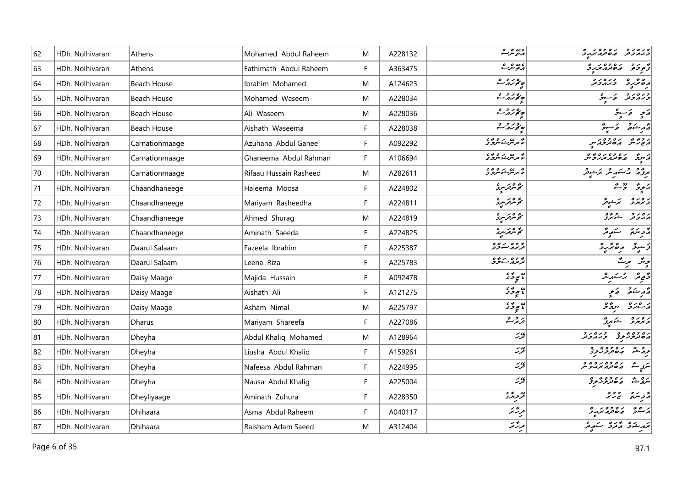| 62 | HDh. Nolhivaran | Athens             | Mohamed Abdul Raheem   | M           | A228132 | ، <i>په ه ره</i>                     | 20000 - 2000 00000                                                                                  |
|----|-----------------|--------------------|------------------------|-------------|---------|--------------------------------------|-----------------------------------------------------------------------------------------------------|
| 63 | HDh. Nolhivaran | Athens             | Fathimath Abdul Raheem | F           | A363475 | ، <i>پره هر</i> گ                    | قوده رەدەبرە                                                                                        |
| 64 | HDh. Nolhivaran | <b>Beach House</b> | Ibrahim Mohamed        | M           | A124623 | ە ئۇ ئەرمىگە                         | ارەتمەر<br>و ره ر و<br>تر <i>د د</i> تر                                                             |
| 65 | HDh. Nolhivaran | <b>Beach House</b> | Mohamed Waseem         | M           | A228034 | 2, 2, 8, 0                           | ورەرو ريە                                                                                           |
| 66 | HDh. Nolhivaran | <b>Beach House</b> | Ali Waseem             | M           | A228036 | 27/6                                 | أريمو أتكسبوهم                                                                                      |
| 67 | HDh. Nolhivaran | <b>Beach House</b> | Aishath Waseema        | $\mathsf F$ | A228038 | ھەمجە ئەشر                           | أقهر شوقر وسيوقر                                                                                    |
| 68 | HDh. Nolhivaran | Carnationmaage     | Azuhana Abdul Ganee    | F           | A092292 | ء<br>ماڻهو مگر شڪ مگرچو <sub>ک</sub> |                                                                                                     |
| 69 | HDh. Nolhivaran | Carnationmaage     | Ghaneema Abdul Rahman  | F           | A106694 | ر<br>ما برېتون مرد د                 | ز سر ده ده ده ده و                                                                                  |
| 70 | HDh. Nolhivaran | Carnationmaage     | Rifaau Hussain Rasheed | M           | A282611 | ر<br>ما برېتون مرکز د                | برؤكا باسكريكا بمشوقه                                                                               |
| 71 | HDh. Nolhivaran | Chaandhaneege      | Haleema Moosa          | $\mathsf F$ | A224802 | ىچە ئىرتى <i>ر س</i> ى               | $\frac{1}{\sqrt{2\pi}}$<br>ورمح                                                                     |
| 72 | HDh. Nolhivaran | Chaandhaneege      | Mariyam Rasheedha      | F           | A224811 | ى<br>ئۇسرىرىي <sub>رى</sub>          | رەرە بەجە                                                                                           |
| 73 | HDh. Nolhivaran | Chaandhaneege      | Ahmed Shurag           | M           | A224819 | ۇ ئەركىزىس <sub>ى</sub>              | ره ر و د وه و<br>د بر د تر شویزی                                                                    |
| 74 | HDh. Nolhivaran | Chaandhaneege      | Aminath Saeeda         | F           | A224825 | ىم ئىرتى <i>ر س</i> ىيە              | أأدم المتحصر المستعمر وتكر                                                                          |
| 75 | HDh. Nolhivaran | Daarul Salaam      | Fazeela Ibrahim        | $\mathsf F$ | A225387 | ء وه ريده<br>تربر پر سکوچ            | ۇسوڭ مەھەرد                                                                                         |
| 76 | HDh. Nolhivaran | Daarul Salaam      | Leena Riza             | F           | A225783 | ء وه ر ره ه<br>تربردگرخو             | ا پیش برگ                                                                                           |
| 77 | HDh. Nolhivaran | Daisy Maage        | Majida Hussain         | F           | A092478 | ړ،<br>٤ مې تر د                      | وَمِعَرَّ<br>برستمرینگ                                                                              |
| 78 | HDh. Nolhivaran | Daisy Maage        | Aishath Ali            | $\mathsf F$ | A121275 | ړي په ده<br>پانته پی                 |                                                                                                     |
| 79 | HDh. Nolhivaran | Daisy Maage        | Asham Nimal            | M           | A225797 | ر<br>پانگ پی پی تر <sub>ک</sub>      | برعهزه<br>سرڈ ٹر                                                                                    |
| 80 | HDh. Nolhivaran | <b>Dharus</b>      | Mariyam Shareefa       | F           | A227086 | ىر ج <sub>ە</sub> ر                  | ومروحة المشتمرة                                                                                     |
| 81 | HDh. Nolhivaran | Dheyha             | Abdul Khaliq Mohamed   | M           | A128964 | تترتر                                | ره وه بحره دره د و<br>مصر ورکور - ورمان                                                             |
| 82 | HDh. Nolhivaran | Dheyha             | Liusha Abdul Khaliq    | F           | A159261 | ىدىر<br>قىرىر                        | جەرشە مەھەر ئەرقى                                                                                   |
| 83 | HDh. Nolhivaran | Dheyha             | Nafeesa Abdul Rahman   | $\mathsf F$ | A224995 | تترتر                                | سَمَةٍ مِسَمَّ مِسَمَّةٍ مِسَمَّةٍ مِسَمَّةٍ مِسَمَّةٍ مِسَمَّةٍ مِسَمَّةٍ مِسَمَّةٍ مِسَمَّةٍ مِسَ |
| 84 | HDh. Nolhivaran | Dheyha             | Nausa Abdul Khaliq     | F           | A225004 | یر<br>تورژ                           | رە دە ئەرى<br>مەھىرىرىتى<br>سَرْهُرْ شَّە                                                           |
| 85 | HDh. Nolhivaran | Dheyliyaage        | Aminath Zuhura         | F           | A228350 | ر<br>ترموگری                         | ومحر يتمرجم                                                                                         |
| 86 | HDh. Nolhivaran | Dhihaara           | Asma Abdul Raheem      | F           | A040117 | ىرىشىمە<br>م                         | ره پی<br>ره وه د ره<br>پره تربر تر                                                                  |
| 87 | HDh. Nolhivaran | Dhihaara           | Raisham Adam Saeed     | M           | A312404 | <sub>حر</sub> رٌ برَ                 | بمدشوق أزوق كورقر                                                                                   |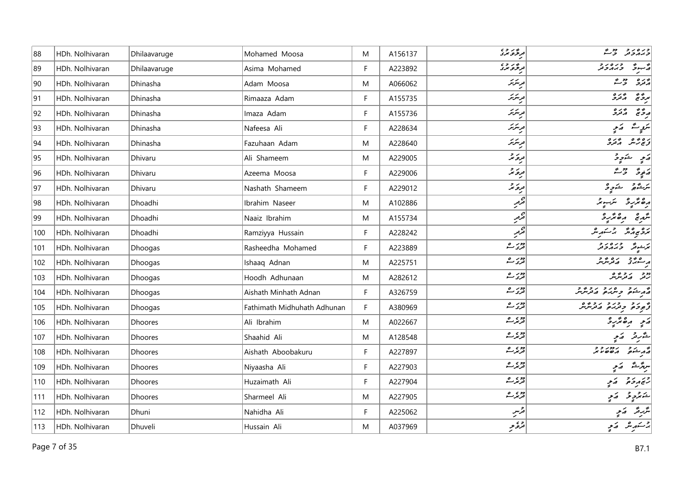| 88           | HDh. Nolhivaran | Dhilaavaruge   | Mohamed Moosa               | M  | A156137 | و <i>پی پ</i> ر و ۽<br>مرگوم <i>پو</i> ي | وره دو دور                                                                                       |
|--------------|-----------------|----------------|-----------------------------|----|---------|------------------------------------------|--------------------------------------------------------------------------------------------------|
| 89           | HDh. Nolhivaran | Dhilaavaruge   | Asima Mohamed               | F. | A223892 | و ۶ ر و c<br>توقره بو <i>c</i>           | و ر ه ر و<br>تر پر تر تر<br>ومجسبة فحج                                                           |
| $ 90\rangle$ | HDh. Nolhivaran | Dhinasha       | Adam Moosa                  | M  | A066062 | ويتزيتر                                  | وره دون                                                                                          |
| 91           | HDh. Nolhivaran | Dhinasha       | Rimaaza Adam                | F. | A155735 | امریزیژ                                  | $\overset{\ast}{\tilde{c}}\overset{\ast}{\sim}$<br>پە رە<br>مەنزۈ                                |
| 92           | HDh. Nolhivaran | Dhinasha       | Imaza Adam                  | F  | A155736 | امەيتە <del>ب</del> ر<br>يە              | $rac{2}{5}$<br>پور ہ<br>پرترو                                                                    |
| 93           | HDh. Nolhivaran | Dhinasha       | Nafeesa Ali                 | F  | A228634 | ورىترتر                                  | سَمَدٍ مُتَّ<br>آرنبي                                                                            |
| 94           | HDh. Nolhivaran | Dhinasha       | Fazuhaan Adam               | M  | A228640 | ويترتز                                   | رەپ پەرە<br>ۋىئ شركىر                                                                            |
| 95           | HDh. Nolhivaran | Dhivaru        | Ali Shameem                 | M  | A229005 | مریح تر                                  |                                                                                                  |
| 96           | HDh. Nolhivaran | Dhivaru        | Azeema Moosa                | F  | A229006 | امديريته                                 | $\begin{array}{cc} 2 & 2 & 2 & 2 \\ 2 & 2 & 2 & 2 \\ 2 & 2 & 2 & 2 \\ 2 & 2 & 2 & 2 \end{array}$ |
| 97           | HDh. Nolhivaran | Dhivaru        | Nashath Shameem             | F  | A229012 | مریح تر                                  | <br>  سَرَحْتَهِ فِي حَسَوِدِ                                                                    |
| 98           | HDh. Nolhivaran | Dhoadhi        | Ibrahim Naseer              | M  | A102886 | تحرمر                                    | رە ئرىر ئىسىر                                                                                    |
| 99           | HDh. Nolhivaran | Dhoadhi        | Naaiz Ibrahim               | M  | A155734 | ە<br>تىرىر                               | ە ھەترىر <sup>ە</sup><br>يثمر <sup>ج</sup>                                                       |
| 100          | HDh. Nolhivaran | Dhoadhi        | Ramziyya Hussain            | F  | A228242 | جمعر                                     | بروبي وعجر<br>بر <sup>م</sup> سە <sub>م</sub> مىر                                                |
| 101          | HDh. Nolhivaran | Dhoogas        | Rasheedha Mohamed           | F  | A223889 | دد بر ح<br>تعری ک                        | و ره ر و<br>تر پر ژنر<br>ىرىشىرىگر                                                               |
| 102          | HDh. Nolhivaran | Dhoogas        | Ishaaq Adnan                | M  | A225751 | دد بر ح<br>تعری ک                        | رەپ ئەرەپر                                                                                       |
| 103          | HDh. Nolhivaran | Dhoogas        | Hoodh Adhunaan              | M  | A282612 | ود پر ہے                                 | دو د و هر شر مر<br>ار در مر تر شر سر                                                             |
| 104          | HDh. Nolhivaran | Dhoogas        | Aishath Minhath Adnan       | F  | A326759 | ود ر ہے۔                                 | 222220 CWS                                                                                       |
| 105          | HDh. Nolhivaran | Dhoogas        | Fathimath Midhuhath Adhunan | F  | A380969 | ود پر ہے                                 |                                                                                                  |
| 106          | HDh. Nolhivaran | <b>Dhoores</b> | Ali Ibrahim                 | M  | A022667 | ود ۽ ه                                   |                                                                                                  |
| 107          | HDh. Nolhivaran | <b>Dhoores</b> | Shaahid Ali                 | M  | A128548 | ود ۽ ه                                   | المقررة مدير<br>مسيح مدير                                                                        |
| 108          | HDh. Nolhivaran | <b>Dhoores</b> | Aishath Aboobakuru          | F  | A227897 | دد ،<br>تربر ک                           | و مر شو د<br>77/77/7                                                                             |
| 109          | HDh. Nolhivaran | <b>Dhoores</b> | Niyaasha Ali                | F  | A227903 | ود ۽ ه                                   | سرمر شد میکند.                                                                                   |
| 110          | HDh. Nolhivaran | <b>Dhoores</b> | Huzaimath Ali               | F  | A227904 | ود ۽ ه<br>تعريجه شک                      |                                                                                                  |
| 111          | HDh. Nolhivaran | <b>Dhoores</b> | Sharmeel Ali                | M  | A227905 | دد ،<br>تربر ک                           | لمشتروني أركم                                                                                    |
| 112          | HDh. Nolhivaran | Dhuni          | Nahidha Ali                 | F  | A225062 | قرسر                                     | شريق كميمج                                                                                       |
| 113          | HDh. Nolhivaran | Dhuveli        | Hussain Ali                 | M  | A037969 | و ،<br>ترڅ م                             | برسكهر شركر                                                                                      |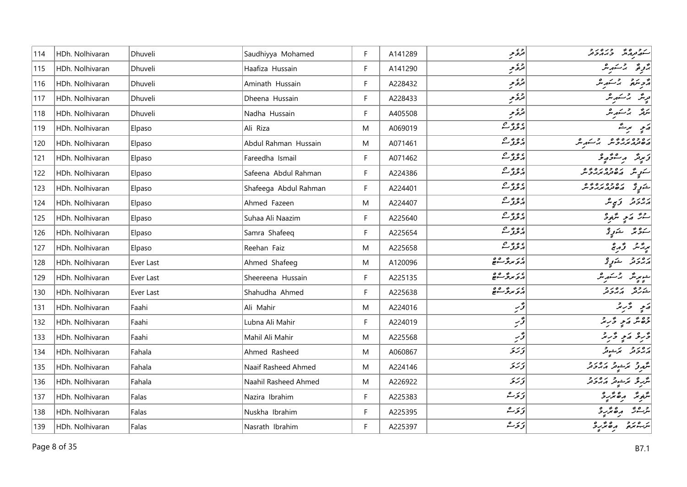| 114 | HDh. Nolhivaran | Dhuveli   | Saudhiyya Mohamed     | F         | A141289 | قرۂ محر                       | המנגית בגמכת                                                                                                                                                          |
|-----|-----------------|-----------|-----------------------|-----------|---------|-------------------------------|-----------------------------------------------------------------------------------------------------------------------------------------------------------------------|
| 115 | HDh. Nolhivaran | Dhuveli   | Haafiza Hussain       | F         | A141290 | قرة محر                       | يز <sub>وځ پر</sub> مشر شر                                                                                                                                            |
| 116 | HDh. Nolhivaran | Dhuveli   | Aminath Hussain       | F         | A228432 | قرءً محرِ                     | أوسكو بالتكريث                                                                                                                                                        |
| 117 | HDh. Nolhivaran | Dhuveli   | Dheena Hussain        | F         | A228433 | قرء محر                       | ىرى <i>گە جىسكىرى</i> گە                                                                                                                                              |
| 118 | HDh. Nolhivaran | Dhuveli   | Nadha Hussain         | F         | A405508 | قرغرمر                        | للرقر الاستهراش                                                                                                                                                       |
| 119 | HDh. Nolhivaran | Elpaso    | Ali Riza              | M         | A069019 | پرویز م                       | ړې برگ                                                                                                                                                                |
| 120 | HDh. Nolhivaran | Elpaso    | Abdul Rahman Hussain  | ${\sf M}$ | A071461 | ئۇ قۇرى                       | גם כם גם בם הקבל האליקו לא                                                                                                                                            |
| 121 | HDh. Nolhivaran | Elpaso    | Fareedha Ismail       | F         | A071462 | اندوژ م                       | ۇ بونگر بەسىم بولى<br>ئۇ بونگر بەسىم بولار بولارى<br>سۇ بىگر بەھەر بولار بولارى                                                                                       |
| 122 | HDh. Nolhivaran | Elpaso    | Safeena Abdul Rahman  | F         | A224386 | ەرەپرى                        |                                                                                                                                                                       |
| 123 | HDh. Nolhivaran | Elpaso    | Shafeega Abdul Rahman | F         | A224401 | پرویز م                       | شريق مەمەمدەر                                                                                                                                                         |
| 124 | HDh. Nolhivaran | Elpaso    | Ahmed Fazeen          | M         | A224407 | پروپر ح                       | رەرر زېږم                                                                                                                                                             |
| 125 | HDh. Nolhivaran | Elpaso    | Suhaa Ali Naazim      | F         | A225640 | پروپژ م                       | ر دی <sub>گر</sub> شرکار در شرکار در شرکت کرده کرد.<br>مسائله شرکار میکنور در شرکار در سرکار در سرکار در سرکار در سرکار در سرکار میتالی کردید که در سرکار در سرکار دی |
| 126 | HDh. Nolhivaran | Elpaso    | Samra Shafeeq         | F         | A225654 | پرویز م                       | أَسْتَرْحَمَدُ الشَّمَوِرَةُ وَ                                                                                                                                       |
| 127 | HDh. Nolhivaran | Elpaso    | Reehan Faiz           | ${\sf M}$ | A225658 | پرویز م                       | بريژنتر تؤريح                                                                                                                                                         |
| 128 | HDh. Nolhivaran | Ever Last | Ahmed Shafeeg         | ${\sf M}$ | A120096 | ى ئەسرىۋىسى<br>مەمۇرىسى       | رەرو شرې                                                                                                                                                              |
| 129 | HDh. Nolhivaran | Ever Last | Sheereena Hussain     | F         | A225135 | ى بەر بۇرماھ<br>مەكەبىر ئۇسسو | جي شي المريد المريد                                                                                                                                                   |
| 130 | HDh. Nolhivaran | Ever Last | Shahudha Ahmed        | F         | A225638 | ى بە بەرگە ھ<br>مەن ئەرگە سى  | ر دو ره رور<br>شورتر م <i>.ب</i> روتر                                                                                                                                 |
| 131 | HDh. Nolhivaran | Faahi     | Ali Mahir             | M         | A224016 | وً ب                          | أەيج الحرايم                                                                                                                                                          |
| 132 | HDh. Nolhivaran | Faahi     | Lubna Ali Mahir       | F         | A224019 | $\overline{\phantom{a}}$      | $\frac{2}{3}$ $\frac{1}{2}$ $\frac{1}{2}$ $\frac{1}{2}$ $\frac{1}{2}$ $\frac{1}{2}$                                                                                   |
| 133 | HDh. Nolhivaran | Faahi     | Mahil Ali Mahir       | M         | A225568 | اقرير                         | وحرو كالمج وحرابا                                                                                                                                                     |
| 134 | HDh. Nolhivaran | Fahala    | Ahmed Rasheed         | M         | A060867 | قرترى                         | ره رو بر شوتر<br>ا <i>د بر</i> وتر بر شوتر                                                                                                                            |
| 135 | HDh. Nolhivaran | Fahala    | Naaif Rasheed Ahmed   | M         | A224146 | ۇزۇ                           | شرقى ترجعتى كالالاقر                                                                                                                                                  |
| 136 | HDh. Nolhivaran | Fahala    | Naahil Rasheed Ahmed  | M         | A226922 | ۇزى                           | تركز ترجيتر وروزة                                                                                                                                                     |
| 137 | HDh. Nolhivaran | Falas     | Nazira Ibrahim        | F         | A225383 | ۇ ئۆر شە                      | لشموشر مرەشرىر                                                                                                                                                        |
| 138 | HDh. Nolhivaran | Falas     | Nuskha Ibrahim        | F         | A225395 | ۇ ئۇر                         | برە ئۆر ۋ<br>برويج                                                                                                                                                    |
| 139 | HDh. Nolhivaran | Falas     | Nasrath Ibrahim       | F         | A225397 | ۇ ئۆرشە                       | يترجعهم وهغربرد                                                                                                                                                       |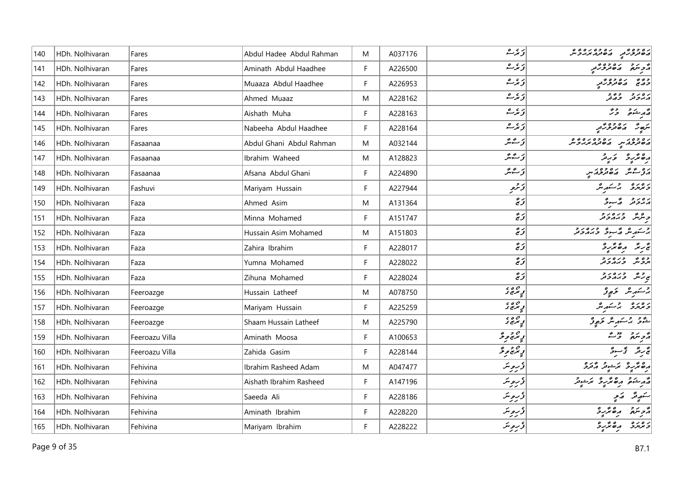| 140 | HDh. Nolhivaran | Fares          | Abdul Hadee Abdul Rahman | M  | A037176 | ىر ئەر ھ                        | ره وه د په مره وه بره وه<br>مصر د کرد مصر مرکز کر          |
|-----|-----------------|----------------|--------------------------|----|---------|---------------------------------|------------------------------------------------------------|
| 141 | HDh. Nolhivaran | Fares          | Aminath Abdul Haadhee    | F. | A226500 | ئە ئىر شە                       | أأترسم أأتحد والمعالج                                      |
| 142 | HDh. Nolhivaran | Fares          | Muaaza Abdul Haadhee     | F. | A226953 | ئە ئەرم                         |                                                            |
| 143 | HDh. Nolhivaran | Fares          | Ahmed Muaaz              | M  | A228162 | ترىژىشە                         | ره رحم در در<br>مرکز حمض                                   |
| 144 | HDh. Nolhivaran | Fares          | Aishath Muha             | F  | A228163 | ىر ئەر ھ                        | وكرمشتمو ورمح                                              |
| 145 | HDh. Nolhivaran | Fares          | Nabeeha Abdul Haadhee    | F. | A228164 | ىر ، ھ<br>يۈرىشە                | بتهاء ماه ده در در                                         |
| 146 | HDh. Nolhivaran | Fasaanaa       | Abdul Ghani Abdul Rahman | M  | A032144 | ۇ شەمىگە                        | גם כם ג' ג'ם כם גם בים -<br>גיס בקיבה היי היים בקהיי בקייק |
| 147 | HDh. Nolhivaran | Fasaanaa       | Ibrahim Waheed           | M  | A128823 | ۇ ئەشىر                         | دەمەر قەدەر<br>رەمەر قەدەر<br>دۇسەش ھەدەدىر                |
| 148 | HDh. Nolhivaran | Fasaanaa       | Afsana Abdul Ghani       | F  | A224890 | ۇ ئەشر                          |                                                            |
| 149 | HDh. Nolhivaran | Fashuvi        | Mariyam Hussain          | F. | A227944 | وكرثره                          | 2010 - 2010 L                                              |
| 150 | HDh. Nolhivaran | Faza           | Ahmed Asim               | M  | A131364 | وًجَ                            | גם גב הבייב                                                |
| 151 | HDh. Nolhivaran | Faza           | Minna Mohamed            | F  | A151747 | تریخ                            | و شرع دره د د                                              |
| 152 | HDh. Nolhivaran | Faza           | Hussain Asim Mohamed     | M  | A151803 | ترتج                            | י הודע הייכל במחבד                                         |
| 153 | HDh. Nolhivaran | Faza           | Zahira Ibrahim           | F  | A228017 | ترتج                            | لتجربته وحتربه                                             |
| 154 | HDh. Nolhivaran | Faza           | Yumna Mohamed            | F  | A228022 | تریخ                            | כם בנסנב<br>תכית בגתכת                                     |
| 155 | HDh. Nolhivaran | Faza           | Zihuna Mohamed           | F. | A228024 | ترتج                            | ي ژنگر ورورور                                              |
| 156 | HDh. Nolhivaran | Feeroazge      | Hussain Latheef          | M  | A078750 | و ۵ ۵ م<br>په ترېخ <sub>ک</sub> | 2سىرىش ئۇچۇق                                               |
| 157 | HDh. Nolhivaran | Feeroazge      | Mariyam Hussain          | F. | A225259 |                                 | - 2010 - 2010                                              |
| 158 | HDh. Nolhivaran | Feeroazge      | Shaam Hussain Latheef    | M  | A225790 | وپرې                            | د د د کرد شهر شو د در د                                    |
| 159 | HDh. Nolhivaran | Feeroazu Villa | Aminath Moosa            | F  | A100653 | ە جەنج ھ <sub>و</sub> مۇ        | ړ ده ده ده.                                                |
| 160 | HDh. Nolhivaran | Feeroazu Villa | Zahida Gasim             | F  | A228144 | رچ چې په مخ<br>  پېښمنځ پوځي    | تجرىد تۇسىۋ                                                |
| 161 | HDh. Nolhivaran | Fehivina       | Ibrahim Rasheed Adam     | M  | A047477 | ۇرەپىر                          | مەھەر ئەس ئەسىر ئەر                                        |
| 162 | HDh. Nolhivaran | Fehivina       | Aishath Ibrahim Rasheed  | F  | A147196 | ۇر <sub>ە</sub> بىر             |                                                            |
| 163 | HDh. Nolhivaran | Fehivina       | Saeeda Ali               | F  | A228186 | ۇروپىر<br>مەم                   | سكهاش الكافي                                               |
| 164 | HDh. Nolhivaran | Fehivina       | Aminath Ibrahim          | F. | A228220 | ۇر <sub>چە</sub> بىر            | أزمز ينمو<br>دە ئەرد                                       |
| 165 | HDh. Nolhivaran | Fehivina       | Mariyam Ibrahim          | F  | A228222 | ۇروپر                           | גם גם ביתים                                                |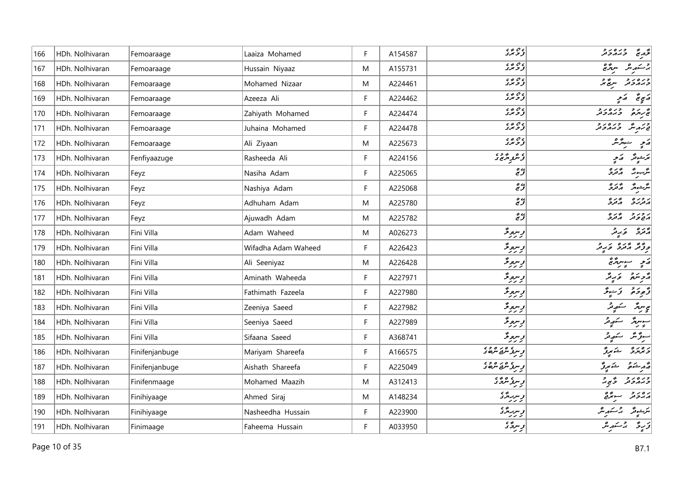| 166 | HDh. Nolhivaran | Femoaraage     | Laaiza Mohamed      | F | A154587 | ړه د د<br>او د بود                    | و ر ه ر د<br>تر پر ژنر<br>لمحرم يخم                     |
|-----|-----------------|----------------|---------------------|---|---------|---------------------------------------|---------------------------------------------------------|
| 167 | HDh. Nolhivaran | Femoaraage     | Hussain Niyaaz      | M | A155731 | ه ۵ و ه<br>او د بو د                  | جرسكور معدد مريد من                                     |
| 168 | HDh. Nolhivaran | Femoaraage     | Mohamed Nizaar      | M | A224461 | ړ بر پر پر<br>تو <del>و</del> مگرۍ    | <i>د بر ه ب</i> ر د<br>سرچ تر                           |
| 169 | HDh. Nolhivaran | Femoaraage     | Azeeza Ali          | F | A224462 | پر <i>م پر پ</i><br>  بو تر بو پر     | أرسم تحجم أأتراحي                                       |
| 170 | HDh. Nolhivaran | Femoaraage     | Zahiyath Mohamed    | F | A224474 | ه ۵ پر د<br>او د بو د                 | پر در در<br>پخ ر در در<br>و ره ر و<br>تر <i>پر</i> و تر |
| 171 | HDh. Nolhivaran | Femoaraage     | Juhaina Mohamed     | F | A224478 | ړ بر پر پر<br>تو <del>ت</del> ر بو پر | ور شهر العدد ورو                                        |
| 172 | HDh. Nolhivaran | Femoaraage     | Ali Ziyaan          | M | A225673 | پر <i>م پر پ</i><br>  بو تو تو پر     | ړې د شرکتن                                              |
| 173 | HDh. Nolhivaran | Fenfiyaazuge   | Rasheeda Ali        | F | A224156 | ې هرو پر دې<br>د شرو پر پر د          | ىرچىق كەم<br>م                                          |
| 174 | HDh. Nolhivaran | Feyz           | Nasiha Adam         | F | A225065 | ړه ه<br>گر <del>ي</del>               | متن بدرگر<br>متن<br>پور ہ<br>مرکز پر                    |
| 175 | HDh. Nolhivaran | Feyz           | Nashiya Adam        | F | A225068 | ړه ه<br>گر <del>ي</del>               | مگرىشودگر<br>م<br>پر ہ<br>مرکزو                         |
| 176 | HDh. Nolhivaran | Feyz           | Adhuham Adam        | M | A225780 | ړه ه<br>گر <del>ج</del>               | ر ور ه<br>پرتورنژ<br>پر ہ<br>مرترو                      |
| 177 | HDh. Nolhivaran | Feyz           | Ajuwadh Adam        | M | A225782 | ړه ه<br>گر <del>ج</del>               | پور ہ<br>مرکزو<br>پر 3 ر 5<br>پر تع حر تعر              |
| 178 | HDh. Nolhivaran | Fini Villa     | Adam Waheed         | M | A026273 | و سره څه<br>تر سر                     | أرمزو كالميامز                                          |
| 179 | HDh. Nolhivaran | Fini Villa     | Wifadha Adam Waheed | F | A226423 | او سره څه<br><u>ست</u>                | <br>  و تی گر مرکزی کوبرند                              |
| 180 | HDh. Nolhivaran | Fini Villa     | Ali Seeniyaz        | M | A226428 | او سره څه<br><u>ست</u>                |                                                         |
| 181 | HDh. Nolhivaran | Fini Villa     | Aminath Waheeda     | F | A227971 | اوسعدگر<br>ڪشم                        |                                                         |
| 182 | HDh. Nolhivaran | Fini Villa     | Fathimath Fazeela   | F | A227980 | اوسره څه<br><u>سب</u>                 | وَّەپرۇ ئەسپۇ                                           |
| 183 | HDh. Nolhivaran | Fini Villa     | Zeeniya Saeed       | F | A227982 | او سره څه<br><u>ست</u>                | ىپ سرگە سىكھوتىر                                        |
| 184 | HDh. Nolhivaran | Fini Villa     | Seeniya Saeed       | F | A227989 | اوسره څه<br><u>سب</u>                 | سە پەتىر<br>سەمىرىگر                                    |
| 185 | HDh. Nolhivaran | Fini Villa     | Sifaana Saeed       | F | A368741 | ار سره څه<br><u>پ</u>                 | سىرتىش سىرتىر                                           |
| 186 | HDh. Nolhivaran | Finifenjanbuge | Mariyam Shareefa    | F | A166575 | و سرو مرد و د و د                     | ىر 2 مەر 2<br>ے مورٌ                                    |
| 187 | HDh. Nolhivaran | Finifenjanbuge | Aishath Shareefa    | F | A225049 | و سرو سره و د و د                     | أقهر مشكاتهم المستعبرة                                  |
| 188 | HDh. Nolhivaran | Finifenmaage   | Mohamed Maazih      | M | A312413 | و سرگر مرگر <sup>ی</sup>              | ورەرد ئەر                                               |
| 189 | HDh. Nolhivaran | Finihiyaage    | Ahmed Siraj         | M | A148234 | و سربر پژی<br>بر بر بر                | رورو سورتم                                              |
| 190 | HDh. Nolhivaran | Finihiyaage    | Nasheedha Hussain   | F | A223900 | و سربر پر <sup>ی</sup><br>تر بر بر    | لترجيع الرائد المرامر                                   |
| 191 | HDh. Nolhivaran | Finimaage      | Faheema Hussain     | F | A033950 | و سرچ <sup>ء</sup><br>تر سرچ          | أَوْرِدُ بِرْسَهِ مِدْ                                  |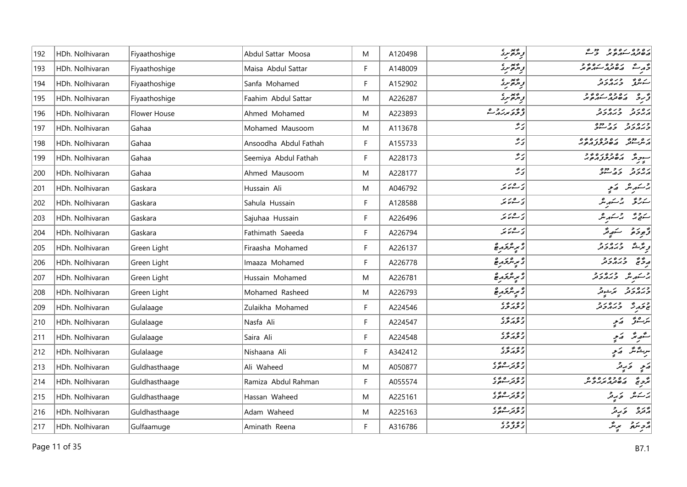| 192 | HDh. Nolhivaran | Fiyaathoshige | Abdul Sattar Moosa    | M  | A120498 | و پھر ہ<br>پر مربو                                                   | נסכם נסיכ כביי.<br>הסנג התופיג כי                     |
|-----|-----------------|---------------|-----------------------|----|---------|----------------------------------------------------------------------|-------------------------------------------------------|
| 193 | HDh. Nolhivaran | Fiyaathoshige | Maisa Abdul Sattar    | F  | A148009 | و پر پر ۽<br>رقم تعري                                                | ر ٥ ۶ ٥ ٥ ٥ ٠ ٥<br>۵ ٠ ۵ مهر ۶ مهر ۶<br>ر پر ش        |
| 194 | HDh. Nolhivaran | Fiyaathoshige | Sanfa Mohamed         | F  | A152902 | و پر پر ۽<br>پر مربو سرچ                                             | و رە ر د<br><i>د بە</i> دىر<br>سەئىدى                 |
| 195 | HDh. Nolhivaran | Fiyaathoshige | Faahim Abdul Sattar   | M  | A226287 | و پھر ۽<br>پر مربو                                                   | ره وه ره دور<br>پره تربر شهره پر<br>ۇر ۋ              |
| 196 | HDh. Nolhivaran | Flower House  | Ahmed Mohamed         | M  | A223893 | ە ئەر بەر ئەر<br>ئۇ ئۇ <i>ھ بىر ئە</i> ر                             | ره رو دره رو<br>גرونر وبرونر                          |
| 197 | HDh. Nolhivaran | Gahaa         | Mohamed Mausoom       | M  | A113678 | ىرچ                                                                  | ىر دە دە<br>و رە ر د<br><i>د بر</i> گرىز              |
| 198 | HDh. Nolhivaran | Gahaa         | Ansoodha Abdul Fathah | F  | A155733 | ىزچ                                                                  | ره دده دره ده ده ده<br>پرسرسوتر پره تر ژبروبر         |
| 199 | HDh. Nolhivaran | Gahaa         | Seemiya Abdul Fathah  | F  | A228173 | ىرچ                                                                  | > > 0 > 0 > 0 ><br>^ 0 0 0 0 0 0 0 0 0<br>اسوپر<br>ڪ  |
| 200 | HDh. Nolhivaran | Gahaa         | Ahmed Mausoom         | M  | A228177 | ىزچ                                                                  | נים כך ברבים.<br>הגבת בה-                             |
| 201 | HDh. Nolhivaran | Gaskara       | Hussain Ali           | M  | A046792 | ر 2 ئەرىر<br>ئ                                                       | برسكهر شركر                                           |
| 202 | HDh. Nolhivaran | Gaskara       | Sahula Hussain        | F  | A128588 | ى سەرىمىر                                                            | سەرىق برسىمەش                                         |
| 203 | HDh. Nolhivaran | Gaskara       | Sajuhaa Hussain       | F  | A226496 | ى سەرىمىر                                                            | سەدە بۇ<br>جە <b>س</b> ەمەر بىر                       |
| 204 | HDh. Nolhivaran | Gaskara       | Fathimath Saeeda      | F  | A226794 | ر ھ.<br>ئەسىمە ئىر                                                   | أزَّوِدَة سَنَ يَدْ                                   |
| 205 | HDh. Nolhivaran | Green Light   | Firaasha Mohamed      | F  | A226137 | ە بې <sub>ر</sub> بىر <i>جىر</i> ھ                                   | وبرٌڪ وره دو                                          |
| 206 | HDh. Nolhivaran | Green Light   | Imaaza Mohamed        | F. | A226778 | ۇ <sub>مو</sub> شرىخەر ھ                                             | <i>و بر ۵ پر و</i><br>ەرتىم                           |
| 207 | HDh. Nolhivaran | Green Light   | Hussain Mohamed       | M  | A226781 | <sub>م</sub> حمد محمد ع                                              | بر شهر شده در در د                                    |
| 208 | HDh. Nolhivaran | Green Light   | Mohamed Rasheed       | M  | A226793 | ۇ <sub>مو</sub> شرىخەر ھ                                             | وره رو کرشونر<br><i>ویرو</i> ونر کرشونر               |
| 209 | HDh. Nolhivaran | Gulalaage     | Zulaikha Mohamed      | F  | A224546 | و ه بر پر پر<br>پر محرکو بر                                          | و رە ر د<br>تر پروتر<br>ج ځ د گ                       |
| 210 | HDh. Nolhivaran | Gulalaage     | Nasfa Ali             | F  | A224547 | و ه بر پر پر<br>پر نور موبر                                          | بترجع قرمي                                            |
| 211 | HDh. Nolhivaran | Gulalaage     | Saira Ali             | F  | A224548 | و ه بر پر پر<br>پر محرکو پر                                          | شەپرى كەيپ                                            |
| 212 | HDh. Nolhivaran | Gulalaage     | Nishaana Ali          | F  | A342412 | و ہ ر ر ر د<br>د محرار محر د                                         | <br> سرشگستر کمکم                                     |
| 213 | HDh. Nolhivaran | Guldhasthaage | Ali Waheed            | M  | A050877 | و ه بر _ ه پر و<br>د نژوکر ستهجو د                                   | أوسم وكبيتمر                                          |
| 214 | HDh. Nolhivaran | Guldhasthaage | Ramiza Abdul Rahman   | F  | A055574 | و ه بر _ ه پر و<br>د نوتر سعو د                                      | ر ه د ه د ه د ه<br>پره تربر <i>تربر 5 س</i><br>ترتزيح |
| 215 | HDh. Nolhivaran | Guldhasthaage | Hassan Waheed         | M  | A225161 | و ه بر _ ه پر و<br>د نژوکر ستهجو د                                   | پرسکس کار پر                                          |
| 216 | HDh. Nolhivaran | Guldhasthaage | Adam Waheed           | Μ  | A225163 | و ه بر _ه پ <sub>ر</sub> ب <sub>ه</sub><br>بر نوتر سعو <sub>ند</sub> | پڙيو ڪيدوگر                                           |
| 217 | HDh. Nolhivaran | Gulfaamuge    | Aminath Reena         | F  | A316786 | وه پر و ،<br>د <del>و</del> تو <del>و</del> د                        | ړ د سره په پر                                         |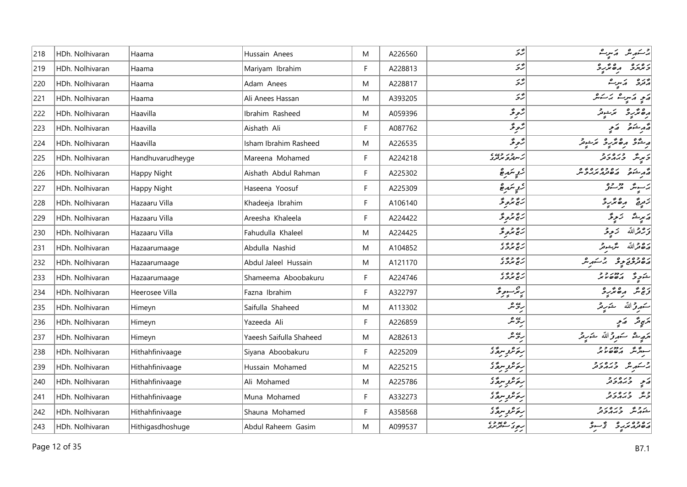| 218 | HDh. Nolhivaran | Haama              | Hussain Anees           | M         | A226560 | $\tilde{\mathcal{Z}}$                     | يز سکهر شہر اور کہ کہ کہ میں ک                   |
|-----|-----------------|--------------------|-------------------------|-----------|---------|-------------------------------------------|--------------------------------------------------|
| 219 | HDh. Nolhivaran | Haama              | Mariyam Ibrahim         | F         | A228813 | ترى                                       |                                                  |
| 220 | HDh. Nolhivaran | Haama              | Adam Anees              | M         | A228817 | رمز                                       | أثروه أتأسرت                                     |
| 221 | HDh. Nolhivaran | Haama              | Ali Anees Hassan        | M         | A393205 | $\mathcal{Z}^{\mathcal{Z}}$               | ړې <sub>مک</sub> ېږے برخش                        |
| 222 | HDh. Nolhivaran | Haavilla           | Ibrahim Rasheed         | M         | A059396 | ر<br>رسمبر محمد                           | رەترىرى ترخىق<br>رەترىرى ترخىق                   |
| 223 | HDh. Nolhivaran | Haavilla           | Aishath Ali             | F         | A087762 | رًّہ پر                                   |                                                  |
| 224 | HDh. Nolhivaran | Haavilla           | Isham Ibrahim Rasheed   | M         | A226535 | رَّحْمَ                                   |                                                  |
| 225 | HDh. Nolhivaran | Handhuvarudheyge   | Mareena Mohamed         | F         | A224218 | ر سرچ ر وي ،<br>ر سرچر مرجز د             | كرمير وره دو                                     |
| 226 | HDh. Nolhivaran | Happy Night        | Aishath Abdul Rahman    | F         | A225302 | <sup>ع</sup> ب <sub>و</sub> سَرَم ع       | ه د د ده ده ده ده و.<br>په دشوی په ه تر پر بر بر |
| 227 | HDh. Nolhivaran | <b>Happy Night</b> | Haseena Yoosuf          | F         | A225309 | <sup>ي</sup> بو پئرم ھ                    | ېز پېښتر ده ده.<br>په                            |
| 228 | HDh. Nolhivaran | Hazaaru Villa      | Khadeeja Ibrahim        | F         | A106140 | رَ پِّ بِرُهِ بِوَّ                       | زَمْرِيحٌ وِ صُحَّرِ وَ                          |
| 229 | HDh. Nolhivaran | Hazaaru Villa      | Areesha Khaleela        | F         | A224422 | <br> رئج ترو ژ                            | زَرِرٌ<br>ەئىرىشە                                |
| 230 | HDh. Nolhivaran | Hazaaru Villa      | Fahudulla Khaleel       | ${\sf M}$ | A224425 | ئەتچ ترەپە ق                              | ترەپچە للە ئەيپىتى                               |
| 231 | HDh. Nolhivaran | Hazaarumaage       | Abdulla Nashid          | M         | A104852 | ر ۶ و ۶ ء<br>تر پنج بوری                  | برە تراللە<br>سُرْمِشوترُ                        |
| 232 | HDh. Nolhivaran | Hazaarumaage       | Abdul Jaleel Hussain    | M         | A121170 | ر پر و د »<br>رسخ بور <del>و</del> ی      |                                                  |
| 233 | HDh. Nolhivaran | Hazaarumaage       | Shameema Aboobakuru     | F         | A224746 | ر بر و بر ،<br>رسخ بوری                   | $72727$<br>$79001$                               |
| 234 | HDh. Nolhivaran | Heerosee Villa     | Fazna Ibrahim           | F         | A322797 | ر بر<br>  ئەسىرىمىتىسىز                   | رەپر مەئرى                                       |
| 235 | HDh. Nolhivaran | Himeyn             | Saifulla Shaheed        | M         | A113302 | ريح مګر                                   | سَمَرِ وَ اللّه ۖ شَمَسٍ مِّرْ                   |
| 236 | HDh. Nolhivaran | Himeyn             | Yazeeda Ali             | F         | A226859 | بەۋىگە                                    | بر <sub>ي</sub> پڻر آھي ج                        |
| 237 | HDh. Nolhivaran | Himeyn             | Yaeesh Saifulla Shaheed | M         | A282613 | ريح مګر                                   | مَرَمِيثُ سَمَرِوْ اللّه شَرَرِةْ                |
| 238 | HDh. Nolhivaran | Hithahfinivaage    | Siyana Aboobakuru       | F         | A225209 | رۇشۇر بىرقە ئە                            |                                                  |
| 239 | HDh. Nolhivaran | Hithahfinivaage    | Hussain Mohamed         | ${\sf M}$ | A225215 | رۇشۇر بىرقە ئە                            | بر شهر محدود و                                   |
| 240 | HDh. Nolhivaran | Hithahfinivaage    | Ali Mohamed             | ${\sf M}$ | A225786 | رە ئىروپىر <i>ە ئ</i>                     | أثمر وره رد                                      |
| 241 | HDh. Nolhivaran | Hithahfinivaage    | Muna Mohamed            | F         | A332273 | پەنزىر سرچ <sup>ى</sup>                   | و میں در در د<br>دس دربردیں                      |
| 242 | HDh. Nolhivaran | Hithahfinivaage    | Shauna Mohamed          | F         | A358568 | رە ئەر بىر <i>ە ئ</i>                     | ىشەر ئىگر<br>و ره ر و<br>تر پر ژنر               |
| 243 | HDh. Nolhivaran | Hithigasdhoshuge   | Abdul Raheem Gasim      | ${\sf M}$ | A099537 | اره د صغیرو <del>،</del><br>په د مشهورد . | גפרפגפ לייפ                                      |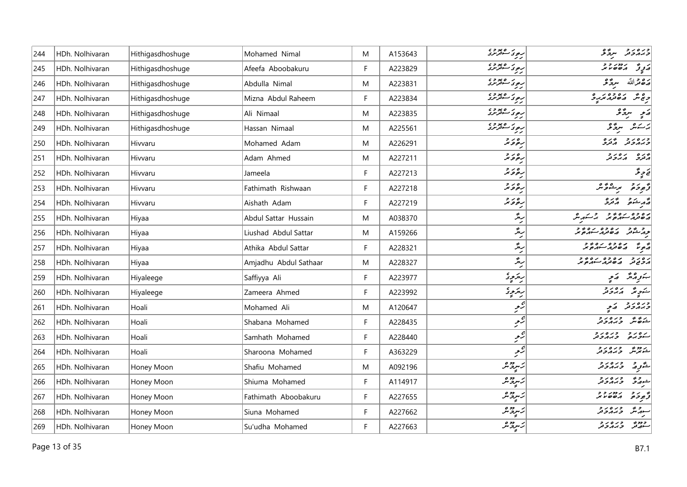| 244 | HDh. Nolhivaran | Hithigasdhoshuge | Mohamed Nimal         | M  | A153643 | ر <sub>جو</sub> ی ڪتر پر وي<br>پرچي ڪتر پري | כנסנכ תשם                                                   |
|-----|-----------------|------------------|-----------------------|----|---------|---------------------------------------------|-------------------------------------------------------------|
| 245 | HDh. Nolhivaran | Hithigasdhoshuge | Afeefa Aboobakuru     | F. | A223829 | ر صد و د و د<br>ره د سوتربرد                | 77/77/7<br>ەزىر                                             |
| 246 | HDh. Nolhivaran | Hithigasdhoshuge | Abdulla Nimal         | M  | A223831 | <br>  ره د ک سور د د د                      | رە ئەللە سەئد                                               |
| 247 | HDh. Nolhivaran | Hithigasdhoshuge | Mizna Abdul Raheem    | F. | A223834 | <br> رەپرى سەندىرى<br> -                    | رە دەر بە<br>جومج يثر                                       |
| 248 | HDh. Nolhivaran | Hithigasdhoshuge | Ali Nimaal            | M  | A223835 | اره د می ده ده<br>په د مورسود               | ړې بردمی                                                    |
| 249 | HDh. Nolhivaran | Hithigasdhoshuge | Hassan Nimaal         | M  | A225561 | اره در حدود<br>اره در حدود                  | <i>يُهُ سِوَّةِ</i>                                         |
| 250 | HDh. Nolhivaran | Hivvaru          | Mohamed Adam          | M  | A226291 | رە دىر                                      | و ر ه ر د<br>تر پر تر تر<br>پور ہ<br>مرکزو                  |
| 251 | HDh. Nolhivaran | Hivvaru          | Adam Ahmed            | M  | A227211 | رە ئە جە                                    | ەر دىر<br>په ره<br>درگر                                     |
| 252 | HDh. Nolhivaran | Hivvaru          | Jameela               | F  | A227213 | ره د د                                      | ر<br>نے تر <sup>ی</sup> خہ                                  |
| 253 | HDh. Nolhivaran | Hivvaru          | Fathimath Rishwaan    | F  | A227218 | ره د د                                      | و مر د<br>تر مو <del>ز</del> مو<br>برىشۇشر                  |
| 254 | HDh. Nolhivaran | Hivvaru          | Aishath Adam          | F. | A227219 | ره د د<br>ره و نر                           | و در دره<br>مهرشتنی مرمز                                    |
| 255 | HDh. Nolhivaran | Hiyaa            | Abdul Sattar Hussain  | M  | A038370 | رپڙ                                         | ره ده ده ده د د کرد.                                        |
| 256 | HDh. Nolhivaran | Hiyaa            | Liushad Abdul Sattar  | M  | A159266 | ربڑ                                         | د مود ده ده ده دود<br>درخور ماه در سرموند                   |
| 257 | HDh. Nolhivaran | Hiyaa            | Athika Abdul Sattar   | F  | A228321 | ريز                                         | ر ٥ ۶ ٥ ٥ ٥ ٥ ٠<br>پره تر پر شور صو<br>پ <sup>ر</sup> جو سُ |
| 258 | HDh. Nolhivaran | Hiyaa            | Amjadhu Abdul Sathaar | M  | A228327 | رپڙ                                         | ג סג כ נגס כ סגיל ב                                         |
| 259 | HDh. Nolhivaran | Hiyaleege        | Saffiyya Ali          | F  | A223977 | رېزىي                                       | سكوره محمر أكدمي                                            |
| 260 | HDh. Nolhivaran | Hiyaleege        | Zameera Ahmed         | F  | A223992 | رېزىپە<br>بە                                | أيتولي أره رو                                               |
| 261 | HDh. Nolhivaran | Hoali            | Mohamed Ali           | M  | A120647 | انجعج                                       | ورەرو كې                                                    |
| 262 | HDh. Nolhivaran | Hoali            | Shabana Mohamed       | F. | A228435 | اچمو                                        | شەھ دىرەرد                                                  |
| 263 | HDh. Nolhivaran | Hoali            | Samhath Mohamed       | F  | A228440 | اچمو                                        | و رە ر د<br>تر پروتر<br>ر ه ر د<br>سوبرم                    |
| 264 | HDh. Nolhivaran | Hoali            | Sharoona Mohamed      | F  | A363229 | احيو                                        | د دوره دره دور<br>شوپرس وبردونر                             |
| 265 | HDh. Nolhivaran | Honey Moon       | Shafiu Mohamed        | M  | A092196 | ائەيدە<br>ئ                                 | و ره ر د<br>تر پر تر تر<br> شگورژ                           |
| 266 | HDh. Nolhivaran | Honey Moon       | Shiuma Mohamed        | F  | A114917 | اير دون<br>پ                                | شەرچە ئخ<br>و رە ر د<br>تر پروتر                            |
| 267 | HDh. Nolhivaran | Honey Moon       | Fathimath Aboobakuru  | F  | A227655 | ئە بىر 3 مىر<br>ئە                          | 1 בצ'ב ב<br><b>1 ה</b> סיס מ<br>  توجو تر و                 |
| 268 | HDh. Nolhivaran | Honey Moon       | Siuna Mohamed         | F. | A227662 | ر سرچينې<br>په سرچينې                       | سەدىئە<br>و ره ر و<br><i>و پر</i> و تر                      |
| 269 | HDh. Nolhivaran | Honey Moon       | Su'udha Mohamed       | F  | A227663 | ئە پىرچە تىر<br>ئە                          | ر دود بر<br>سنوار قر<br>و رە ر د<br><i>د بر</i> گرىز        |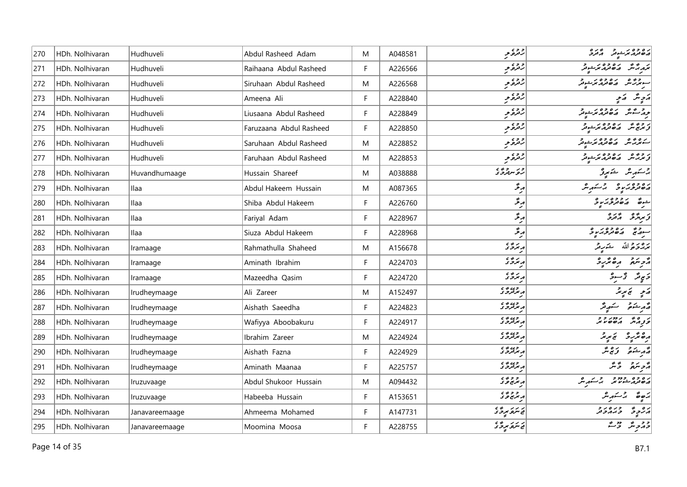| 270 | HDh. Nolhivaran | Hudhuveli      | Abdul Rasheed Adam      | M  | A048581 | و و ،<br>رتوبو بو              | ן 2000 בית הנקרי<br>הסנקה ביביה הנקר               |
|-----|-----------------|----------------|-------------------------|----|---------|--------------------------------|----------------------------------------------------|
| 271 | HDh. Nolhivaran | Hudhuveli      | Raihaana Abdul Rasheed  | F. | A226566 | و و ،<br>رتو <sub>ن</sub> و و  | ىر بەش مەدەر بەر                                   |
| 272 | HDh. Nolhivaran | Hudhuveli      | Siruhaan Abdul Rasheed  | M  | A226568 | و و ۽<br>رندو ج                | سوپژش مەدەبرىشوتر                                  |
| 273 | HDh. Nolhivaran | Hudhuveli      | Ameena Ali              | F. | A228840 | روء پر                         | أرويتر أركمو                                       |
| 274 | HDh. Nolhivaran | Hudhuveli      | Liusaana Abdul Rasheed  | F  | A228849 | روء پر                         |                                                    |
| 275 | HDh. Nolhivaran | Hudhuveli      | Faruzaana Abdul Rasheed | F. | A228850 | و و ۽<br>رسمبر                 | ر و د م د ر د و د د ر<br>ز بری ش د م ه تر مر شوتر  |
| 276 | HDh. Nolhivaran | Hudhuveli      | Saruhaan Abdul Rasheed  | M  | A228852 | د د ه<br>ر تده م               | ره ده ده ده در د<br>سوپریس پره تر پر شوتر          |
| 277 | HDh. Nolhivaran | Hudhuveli      | Faruhaan Abdul Rasheed  | M  | A228853 | و و ۽<br>رقر <i>و</i> م        | ر و ده و ده وه د مشوند<br>و در شر ما ما معروف م    |
| 278 | HDh. Nolhivaran | Huvandhumaage  | Hussain Shareef         | M  | A038888 | و ر په و ده و<br>رنو سرهرو د   | چرىكىرىش كىكەنبورى                                 |
| 279 | HDh. Nolhivaran | Ilaa           | Abdul Hakeem Hussain    | M  | A087365 | وعج                            | رەدورىدو برخىر                                     |
| 280 | HDh. Nolhivaran | Ilaa           | Shiba Abdul Hakeem      | F  | A226760 | برځ                            | أشوة كالمحاوم ومركز وحر                            |
| 281 | HDh. Nolhivaran | <b>Ilaa</b>    | Fariyal Adam            | F  | A228967 | برځ                            | كر يوري المجمدة                                    |
| 282 | HDh. Nolhivaran | Ilaa           | Siuza Abdul Hakeem      | F  | A228968 | برځ                            | سرور ره وه در ه                                    |
| 283 | HDh. Nolhivaran | Iramaage       | Rahmathulla Shaheed     | M  | A156678 | وبردء                          | بره برح الله مشوية                                 |
| 284 | HDh. Nolhivaran | Iramaage       | Aminath Ibrahim         | F  | A224703 | د بوره د<br>د بورگ             | أقرسم وكالمرو                                      |
| 285 | HDh. Nolhivaran | Iramaage       | Mazeedha Qasim          | F. | A224720 | د برو ،<br>د بر <del>د</del> د | دَىپِمَدْ تَوْسِرْدْ                               |
| 286 | HDh. Nolhivaran | Irudheymaage   | Ali Zareer              | M  | A152497 |                                | أەسمج سي مريتر                                     |
| 287 | HDh. Nolhivaran | Irudheymaage   | Aishath Saeedha         | F. | A224823 | <br>  پر برتر د ک              | ۇرىشكى كۆپ                                         |
| 288 | HDh. Nolhivaran | Irudheymaage   | Wafiyya Aboobakuru      | F  | A224917 | <br>  مرمز تروی                | 77/77/<br>ءَ وِ مهڻه                               |
| 289 | HDh. Nolhivaran | Irudheymaage   | Ibrahim Zareer          | M  | A224924 | <br>  پر پر ټر پر ی            | رەترىر تايرىز                                      |
| 290 | HDh. Nolhivaran | Irudheymaage   | Aishath Fazna           | F  | A224929 | <br>  پر پر ټر ژ <sub>ک</sub>  | د مشه <sup>و</sup> زه ش                            |
| 291 | HDh. Nolhivaran | Irudheymaage   | Aminath Maanaa          | F  | A225757 | و دره و بر<br>در جو تورنو ک    | ۇر بىر ئە                                          |
| 292 | HDh. Nolhivaran | Iruzuvaage     | Abdul Shukoor Hussain   | M  | A094432 | د و و د و و<br>د مربع ه ک      | ره وه ودوو و مره<br>مان هم درستور مرکب برگستور مگر |
| 293 | HDh. Nolhivaran | Iruzuvaage     | Habeeba Hussain         | F  | A153651 | د و و د ء<br>د مربع څ ی        | بَهُ فَي الْمَسْرِسْر                              |
| 294 | HDh. Nolhivaran | Janavareemaage | Ahmeema Mohamed         | F. | A147731 | ئے ئىرقە ئىرقە ئە              | بروجه وٌ<br>و ر ه ر د<br>تر پر ژ تر                |
| 295 | HDh. Nolhivaran | Janavareemaage | Moomina Moosa           | F  | A228755 | ىز ئىرى ئىرگ <sup>ى ي</sup>    | وروبر ورم                                          |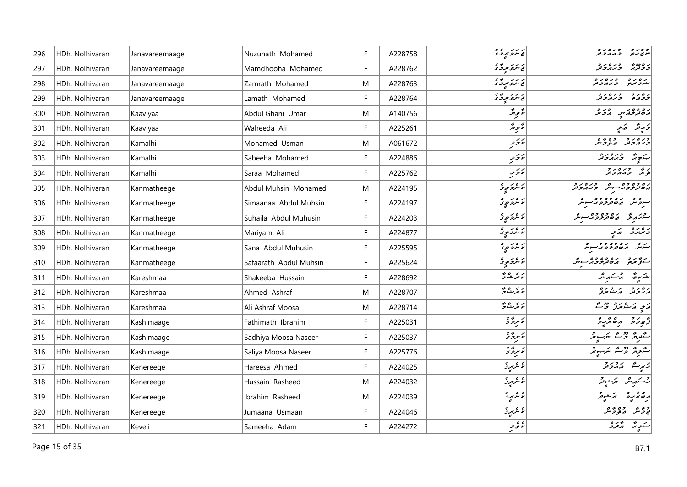| 296 | HDh. Nolhivaran | Janavareemaage | Nuzuhath Mohamed       | F  | A228758 | ئەسكە ئىرچە ئە                                 | و ر ه ر و<br>تر پر ژ تر<br>پر پر پر پر<br>سرچ <sub>سر صو</sub> |
|-----|-----------------|----------------|------------------------|----|---------|------------------------------------------------|----------------------------------------------------------------|
| 297 | HDh. Nolhivaran | Janavareemaage | Mamdhooha Mohamed      | F. | A228762 | ئے سرچ سرچ کی                                  | ر ه دونو<br>تر تر <i>بر</i>                                    |
| 298 | HDh. Nolhivaran | Janavareemaage | Zamrath Mohamed        | M  | A228763 | ر<br>ئى ئىرقە ئىرى <sup>5</sup> ك              | و ر ه ر د<br>تر پر تر تر<br>ر ه ر د<br>سور بره                 |
| 299 | HDh. Nolhivaran | Janavareemaage | Lamath Mohamed         | F  | A228764 | ىز سرەر بىر ئ <sup>ى</sup> رى<br>مەسرەر سىرىرى | و ره ر و<br><i>د ب</i> رگرفر<br>ر ه ر د<br>نرگ <i>ره</i>       |
| 300 | HDh. Nolhivaran | Kaaviyaa       | Abdul Ghani Umar       | M  | A140756 | ړم<br>تناویز                                   | גפינקנית הכת                                                   |
| 301 | HDh. Nolhivaran | Kaaviyaa       | Waheeda Ali            | F. | A225261 | تتمويز                                         | ءَبہِ پَر پر                                                   |
| 302 | HDh. Nolhivaran | Kamalhi        | Mohamed Usman          | M  | A061672 | ر<br>مأخر مر                                   |                                                                |
| 303 | HDh. Nolhivaran | Kamalhi        | Sabeeha Mohamed        | F  | A224886 | ر<br>مأخر مر                                   | و ره ر و<br><i>و پر</i> و تر<br>بنوءيز                         |
| 304 | HDh. Nolhivaran | Kamalhi        | Saraa Mohamed          | F. | A225762 | إئذكريب                                        | ر وره رو<br>فوس وبردوس                                         |
| 305 | HDh. Nolhivaran | Kanmatheege    | Abdul Muhsin Mohamed   | M  | A224195 | ر ه ر<br>پړسر د په د                           | נסכסכם כי הנסגד<br>גישנת <i>בכה ה</i> יית בגוגבת               |
| 306 | HDh. Nolhivaran | Kanmatheege    | Simaanaa Abdul Muhsin  | F  | A224197 | ئەنگە ھ <sub>و</sub> ئە                        | سوچ رە دە دە دە بەر                                            |
| 307 | HDh. Nolhivaran | Kanmatheege    | Suhaila Abdul Muhusin  | F  | A224203 | ر ه ر<br>پړمبر <del>د</del> <sub>و</sub> د     | ره ده ده وه<br>د <i>ه در د د ب</i><br>ستربر بحر                |
| 308 | HDh. Nolhivaran | Kanmatheege    | Mariyam Ali            | F  | A224877 | ر ه پر په<br>پاسرچ <sub>مح</sub> و             | أو بروره كامي                                                  |
| 309 | HDh. Nolhivaran | Kanmatheege    | Sana Abdul Muhusin     | F  | A225595 | ر هر د ،<br>مرگه د                             | ر د ده ده دو د ه<br>سرش مان دور د سوش                          |
| 310 | HDh. Nolhivaran | Kanmatheege    | Safaarath Abdul Muhsin | F  | A225624 | ئەنگە ئەمرى<br>  ئانگەنچە ئە                   | ر در در در ده وه وه.<br>سوز بره در ماند و در سوش               |
| 311 | HDh. Nolhivaran | Kareshmaa      | Shakeeba Hussain       | F  | A228692 | ىر ئەھەتى<br>مايىرىشىرى                        | شەرق برسىر شر                                                  |
| 312 | HDh. Nolhivaran | Kareshmaa      | Ahmed Ashraf           | M  | A228707 | ر ، پره پ <sup>ه</sup>                         | ره رو بر ۱۵۰۵<br>پروتر بر شویرو                                |
| 313 | HDh. Nolhivaran | Kareshmaa      | Ali Ashraf Moosa       | M  | A228714 | ر پر شریح                                      | در مشمر در م                                                   |
| 314 | HDh. Nolhivaran | Kashimaage     | Fathimath Ibrahim      | F. | A225031 | ړ<br>تارود                                     | ژوده مقتر                                                      |
| 315 | HDh. Nolhivaran | Kashimaage     | Sadhiya Moosa Naseer   | F  | A225037 | ئەسرچە<br> -                                   | گرمر و دیگر مرکب و                                             |
| 316 | HDh. Nolhivaran | Kashimaage     | Saliya Moosa Naseer    | F  | A225776 | ر<br>مأسرچۍ                                    | سمرمر وقت الرسومر                                              |
| 317 | HDh. Nolhivaran | Kenereege      | Hareesa Ahmed          | F  | A224025 | ى<br>ئامىرىيەنى                                | أرسي المرورة                                                   |
| 318 | HDh. Nolhivaran | Kenereege      | Hussain Rasheed        | M  | A224032 | ى<br>ئامىرىيەتى                                | چەسكىرىكى ئىكەشپەتمى                                           |
| 319 | HDh. Nolhivaran | Kenereege      | Ibrahim Rasheed        | M  | A224039 | ې په په په<br>ما مر <sub>سم</sub> و            | أرەنزرو ترشونر                                                 |
| 320 | HDh. Nolhivaran | Kenereege      | Jumaana Usmaan         | F. | A224046 | ى ئەرىرى<br>مامىرىمورى                         | و پر پر<br>ج <del>و</del> س<br>و و بو عر                       |
| 321 | HDh. Nolhivaran | Keveli         | Sameeha Adam           | F  | A224272 | عءج                                            | سَوِيدٌ المُعْرَفُ                                             |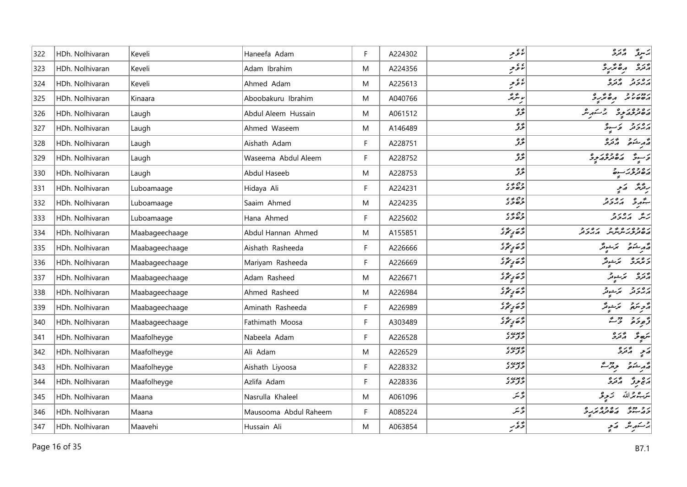| 322 | HDh. Nolhivaran | Keveli         | Haneefa Adam          | F         | A224302 | ءءو                                | پر و<br>پر تر ژ<br>ىز سورتى<br>مستعم                                         |
|-----|-----------------|----------------|-----------------------|-----------|---------|------------------------------------|------------------------------------------------------------------------------|
| 323 | HDh. Nolhivaran | Keveli         | Adam Ibrahim          | M         | A224356 | ءءو                                | أترترى<br>رە ئرىر                                                            |
| 324 | HDh. Nolhivaran | Keveli         | Ahmed Adam            | ${\sf M}$ | A225613 | ءَءُمِ                             | ر ە ر د<br>م.رو تر<br>پەر ە<br>مەنىرى                                        |
| 325 | HDh. Nolhivaran | Kinaara        | Aboobakuru Ibrahim    | M         | A040766 | ىرىترىتر                           | ە ھەترىر 2<br>נ בב ג ב<br>גם סיט זק                                          |
| 326 | HDh. Nolhivaran | Laugh          | Abdul Aleem Hussain   | M         | A061512 | تخرمى                              | גם כפי כ ה' הוקייל                                                           |
| 327 | HDh. Nolhivaran | Laugh          | Ahmed Waseem          | M         | A146489 | تزوُ                               | أربور وسوفر                                                                  |
| 328 | HDh. Nolhivaran | Laugh          | Aishath Adam          | F         | A228751 | تزوُ                               | ه دره وره<br>مهرشتمو مترو                                                    |
| 329 | HDh. Nolhivaran | Laugh          | Waseema Abdul Aleem   | F         | A228752 | تزوُ                               | و ده ده دوره و                                                               |
| 330 | HDh. Nolhivaran | Laugh          | Abdul Haseeb          | M         | A228753 | تزوُ                               | ره وه ر<br>د ه تروبر سوه                                                     |
| 331 | HDh. Nolhivaran | Luboamaage     | Hidaya Ali            | F         | A224231 | و <i>0 ه</i> ي<br>مون نو ي         | پرترنژ - رَمِي                                                               |
| 332 | HDh. Nolhivaran | Luboamaage     | Saaim Ahmed           | M         | A224235 | و <i>0 ه</i> ی<br>مو <b>ره</b> و ی | $\begin{array}{c c}\n\circ & \circ \\ \circ & \circ \\ \end{array}$<br>أروره |
| 333 | HDh. Nolhivaran | Luboamaage     | Hana Ahmed            | F         | A225602 | و <i>0 ه</i> ء<br>مون د د          | رُنگ مَرُورُو ک                                                              |
| 334 | HDh. Nolhivaran | Maabageechaage | Abdul Hannan Ahmed    | M         | A155851 | د ځه کړې<br>  د ځه کړې             | ره وه ره مورد در ره رو<br>مان فروبر سرس در ماندار و                          |
| 335 | HDh. Nolhivaran | Maabageechaage | Aishath Rasheeda      | F         | A226666 | د ده پرځی<br>د همني                | كمرشكم كمسوكر                                                                |
| 336 | HDh. Nolhivaran | Maabageechaage | Mariyam Rasheeda      | F         | A226669 | $\frac{1}{55}$                     | رەرە يرَشِير                                                                 |
| 337 | HDh. Nolhivaran | Maabageechaage | Adam Rasheed          | ${\sf M}$ | A226671 | و ځای دي.<br>د ځای                 | ىر<br>مەسىرىتىر<br>یور ہ<br>پرتونژ                                           |
| 338 | HDh. Nolhivaran | Maabageechaage | Ahmed Rasheed         | M         | A226984 | ور<br>د ه د گرد                    | ره رو گرشونر<br>درگرفتر گرشونر                                               |
| 339 | HDh. Nolhivaran | Maabageechaage | Aminath Rasheeda      | F         | A226989 | د ده د پره<br>د هموند              | أأروبتكم أترشوقر                                                             |
| 340 | HDh. Nolhivaran | Maabageechaage | Fathimath Moosa       | F         | A303489 | دڅه نومونه                         | دو مح<br>و مر د<br>افراد مر                                                  |
| 341 | HDh. Nolhivaran | Maafolheyge    | Nabeela Adam          | F         | A226528 | په پوړ، ،<br>ترکو تر               | سەھ<br>سىھىر<br>پور ہ<br>پر تر تر                                            |
| 342 | HDh. Nolhivaran | Maafolheyge    | Ali Adam              | M         | A226529 | ەيدى ،<br>5 توغرى                  | ړې پروژه                                                                     |
| 343 | HDh. Nolhivaran | Maafolheyge    | Aishath Liyoosa       | F         | A228332 | ه بودن تا<br>ترکو تو ت             | أقهر شده وجزئته                                                              |
| 344 | HDh. Nolhivaran | Maafolheyge    | Azlifa Adam           | F         | A228336 | ه بودن تا<br>تر تو لو ی            | بره وقر<br>منصورتر<br>ەرگەر                                                  |
| 345 | HDh. Nolhivaran | Maana          | Nasrulla Khaleel      | ${\sf M}$ | A061096 | ۇ ئىر                              | تترجيح الله تزمي                                                             |
| 346 | HDh. Nolhivaran | Maana          | Mausooma Abdul Raheem | F         | A085224 | ۇ ئىر                              | ره وه ره<br>پره تر پر تر ره<br>$5 - 22$                                      |
| 347 | HDh. Nolhivaran | Maavehi        | Hussain Ali           | M         | A063854 | ځ ځوب                              | برسكهر شركر                                                                  |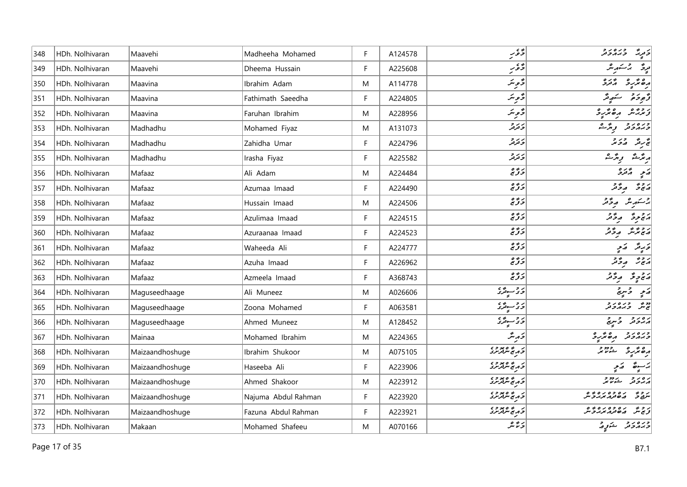| 348 | HDh. Nolhivaran | Maavehi         | Madheeha Mohamed    | F. | A124578 | ۇ ئەر                             | و ر ه ر د<br>تر پر تر تر<br>ځ تورچ<br>د                  |
|-----|-----------------|-----------------|---------------------|----|---------|-----------------------------------|----------------------------------------------------------|
| 349 | HDh. Nolhivaran | Maavehi         | Dheema Hussain      | F. | A225608 | ۇ ئەر                             | ور <sup>یخ</sup><br>و<br>برسەمەرىش                       |
| 350 | HDh. Nolhivaran | Maavina         | Ibrahim Adam        | M  | A114778 | ۇ ھەيىتر                          | دەنزېرد<br>پور ہ<br>مرکز ژ                               |
| 351 | HDh. Nolhivaran | Maavina         | Fathimath Saeedha   | F. | A224805 | ۇ ھەيىتر                          | وتموزة<br>ستهرتر                                         |
| 352 | HDh. Nolhivaran | Maavina         | Faruhan Ibrahim     | M  | A228956 | ځوینر                             | ىر جەمبە<br>تو ئىرىگەنلەر<br>ە ھەمرىر 2<br>برھىمرىر 2    |
| 353 | HDh. Nolhivaran | Madhadhu        | Mohamed Fiyaz       | M  | A131073 | ر ر د<br>تر تر تر                 | و ره ر و<br>تر پر ژ تر<br>ىر بېژىشە                      |
| 354 | HDh. Nolhivaran | Madhadhu        | Zahidha Umar        | F  | A224796 | ر ر و<br>و ترتر                   | يح په قرار در در<br>مخ                                   |
| 355 | HDh. Nolhivaran | Madhadhu        | Irasha Fiyaz        | F  | A225582 | ر ر د<br>ترتر                     | و پڑ کے                                                  |
| 356 | HDh. Nolhivaran | Mafaaz          | Ali Adam            | M  | A224484 | ر په ه<br><del>و</del> ونځ        |                                                          |
| 357 | HDh. Nolhivaran | Mafaaz          | Azumaa Imaad        | F. | A224490 | ترژی                              | $rac{2}{360}$<br>ەردىر                                   |
| 358 | HDh. Nolhivaran | Mafaaz          | Hussain Imaad       | M  | A224506 | ىر ئۇ ج                           | يز سكر مثر مركز تر                                       |
| 359 | HDh. Nolhivaran | Mafaaz          | Azulimaa Imaad      | F  | A224515 | زۇغ                               | ړ د د پروگر                                              |
| 360 | HDh. Nolhivaran | Mafaaz          | Azuraanaa Imaad     | F  | A224523 | ر په ه<br><del>و</del> ونځ        | ە ئەترىتى بەرقى                                          |
| 361 | HDh. Nolhivaran | Mafaaz          | Waheeda Ali         | F  | A224777 | ترژی                              | ەر ئەتە                                                  |
| 362 | HDh. Nolhivaran | Mafaaz          | Azuha Imaad         | F  | A226962 | ر په ه<br><del>و</del> ونځ        | $z_{\varepsilon\lambda}$<br>ەرگەر                        |
| 363 | HDh. Nolhivaran | Mafaaz          | Azmeela Imaad       | F  | A368743 | ىر ئۇي                            | ر ج <sub>حو</sub> ځه<br>پ<br>ە دىگە                      |
| 364 | HDh. Nolhivaran | Maguseedhaage   | Ali Muneez          | M  | A026606 | ئەتمەسىيەتىرى<br>                 | ړې د سرچ<br>مړينې                                        |
| 365 | HDh. Nolhivaran | Maguseedhaage   | Zoona Mohamed       | F. | A063581 | ىر ج سىدىگرى<br>ئىرىگە ئىچ        | מיל כגף כבר                                              |
| 366 | HDh. Nolhivaran | Maguseedhaage   | Ahmed Muneez        | M  | A128452 | ر و<br>تر ی سوتری<br>پ            | גפנב ביתה                                                |
| 367 | HDh. Nolhivaran | Mainaa          | Mohamed Ibrahim     | M  | A224365 | ځه پتر                            | ەھ ئەرج<br>و ر ه ر و<br><i>و پر</i> پر <del>و</del> تر   |
| 368 | HDh. Nolhivaran | Maizaandhoshuge | Ibrahim Shukoor     | M  | A075105 | ئەرىپە ھەدىرى<br>ئەرىپى مىرقىرىرى | ر د د د<br>شور مر<br>ە ھەترىر <sup>ە</sup>               |
| 369 | HDh. Nolhivaran | Maizaandhoshuge | Haseeba Ali         | F  | A223906 | ئەر ئەھرىرى<br>خەر ئى مىرقىرىرى   | برَسوّة<br>رژمو                                          |
| 370 | HDh. Nolhivaran | Maizaandhoshuge | Ahmed Shakoor       | M  | A223912 | ىر پە ھەدىرى<br>قەمەم سرتىرىرى    | ەرەرە<br>ر دو د<br>شور مر                                |
| 371 | HDh. Nolhivaran | Maizaandhoshuge | Najuma Abdul Rahman | F  | A223920 | ر په ۱۶ ور د په<br>تر تر شرکترنرۍ | ر و بر<br>سرچ و<br>ر ه وه ر ه د ه<br>پره تربر تر تر      |
| 372 | HDh. Nolhivaran | Maizaandhoshuge | Fazuna Abdul Rahman | F. | A223921 | ئەر بۇ ھېچە ج<br>ئەر بۇ مىرتىرىرى | ر ه د ه ر ه ر ه<br>پره تر پر بر تر س<br>ر ديگر<br>توسمگر |
| 373 | HDh. Nolhivaran | Makaan          | Mohamed Shafeeu     | M  | A070166 | ىر ئە ھ<br>جەنئىر                 | ورەرو شۆپە                                               |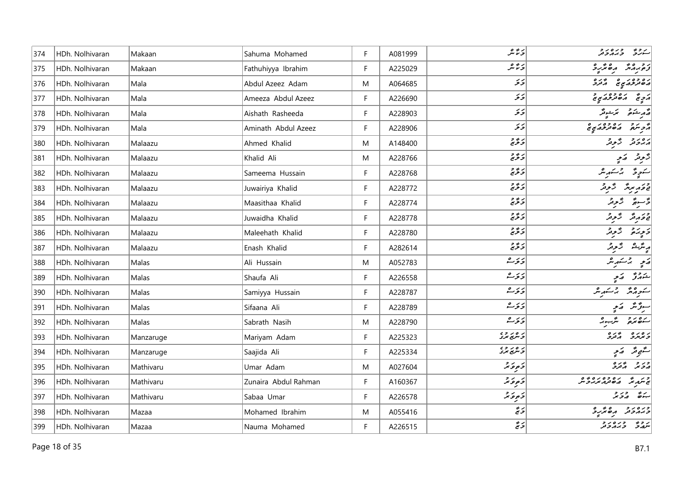| 374 | HDh. Nolhivaran | Makaan    | Sahuma Mohamed       | F         | A081999 | ىر ئە ھ                | سەرىج<br>و رە ر د<br><i>د بر</i> گرىز                       |
|-----|-----------------|-----------|----------------------|-----------|---------|------------------------|-------------------------------------------------------------|
| 375 | HDh. Nolhivaran | Makaan    | Fathuhiyya Ibrahim   | F         | A225029 | ىر ئە ھ<br>جەنبىر      | وتمرمتر مقتررة                                              |
| 376 | HDh. Nolhivaran | Mala      | Abdul Azeez Adam     | M         | A064685 | ىرى                    | גם כסגם הבנים<br>הסינקיה <sub>מ</sub> ינקי                  |
| 377 | HDh. Nolhivaran | Mala      | Ameeza Abdul Azeez   | F         | A226690 | ىزى                    | <br>  הכה הסתלה ב                                           |
| 378 | HDh. Nolhivaran | Mala      | Aishath Rasheeda     | F         | A228903 | ىزى                    | و<br>وگرځنۍ مرخوم                                           |
| 379 | HDh. Nolhivaran | Mala      | Aminath Abdul Azeez  | F         | A228906 | ترتر                   | 202000 2021                                                 |
| 380 | HDh. Nolhivaran | Malaazu   | Ahmed Khalid         | M         | A148400 | ر بو و<br>تر تر م      | برەر ئە ئەي                                                 |
| 381 | HDh. Nolhivaran | Malaazu   | Khalid Ali           | ${\sf M}$ | A228766 | ىر بۇ ج                | دُونْ كَمَوْ<br>سَوِيْنَ كَمَسَ كَمَرْ مِنْ                 |
| 382 | HDh. Nolhivaran | Malaazu   | Sameema Hussain      | F         | A228768 | ىر بۇ ج                |                                                             |
| 383 | HDh. Nolhivaran | Malaazu   | Juwairiya Khalid     | F         | A228772 | ترڅرنځ                 |                                                             |
| 384 | HDh. Nolhivaran | Malaazu   | Maasithaa Khalid     | F         | A228774 | ىر بۇ ج                | $\frac{1}{\hat{S} - \hat{S}}$<br>رٌوورٌ                     |
| 385 | HDh. Nolhivaran | Malaazu   | Juwaidha Khalid      | F         | A228778 | ریخ ج                  | و ر<br>قع حرم فر<br>رَّحْرِ قُرْ                            |
| 386 | HDh. Nolhivaran | Malaazu   | Maleehath Khalid     | F         | A228780 | ىر بۇ ج                | ر پر د<br>د پوښمو<br>رَّحْمَرُ                              |
| 387 | HDh. Nolhivaran | Malaazu   | Enash Khalid         | F         | A282614 | ىر بۇر<br>ترىخى        | ړیژند ژونژ                                                  |
| 388 | HDh. Nolhivaran | Malas     | Ali Hussain          | ${\sf M}$ | A052783 | ىز ئە                  | أەسمج سىستىر بىر                                            |
| 389 | HDh. Nolhivaran | Malas     | Shaufa Ali           | F         | A226558 | ىز ئە                  | المشروع<br>ەئىپ                                             |
| 390 | HDh. Nolhivaran | Malas     | Samiyya Hussain      | F         | A228787 | ئە ئەرگ                | سودور بالمستور                                              |
| 391 | HDh. Nolhivaran | Malas     | Sifaana Ali          | F         | A228789 | ىز ئەر                 | سوۋىتى كەيپ                                                 |
| 392 | HDh. Nolhivaran | Malas     | Sabrath Nasih        | M         | A228790 | ئەنۇرىشە               | $rac{2}{2}$<br>تترجيد                                       |
| 393 | HDh. Nolhivaran | Manzaruge | Mariyam Adam         | F         | A225323 | ر ۵ پر ۶ پ             | ر ه ر ه<br><del>ر</del> بربر و<br>پور ہ<br>پرترن            |
| 394 | HDh. Nolhivaran | Manzaruge | Saajida Ali          | F         | A225334 | ر ۵ ر د ۷<br>د سرچ برو | ستھومتر کیے ج                                               |
| 395 | HDh. Nolhivaran | Mathivaru | Umar Adam            | M         | A027604 | ځوړځه                  | ور و پوره<br>جرمز گرفرو                                     |
| 396 | HDh. Nolhivaran | Mathivaru | Zunaira Abdul Rahman | F         | A160367 | ئە مۇمۇ<br>م           | ره وه ره ده ه<br>پره تربر تر تر تر<br>چ <sub>سکم</sub> ریٹر |
| 397 | HDh. Nolhivaran | Mathivaru | Sabaa Umar           | F         | A226578 | ئەمرىمە<br>م           | بەئ<br>ور و<br>در تر                                        |
| 398 | HDh. Nolhivaran | Mazaa     | Mohamed Ibrahim      | M         | A055416 | ريح                    | و ر ه ر د<br><i>و بر د</i> کر<br>برە ئۆرۈ                   |
| 399 | HDh. Nolhivaran | Mazaa     | Nauma Mohamed        | F         | A226515 | ريح                    | و ر ه ر و<br>تر پروتر<br>سمدتر                              |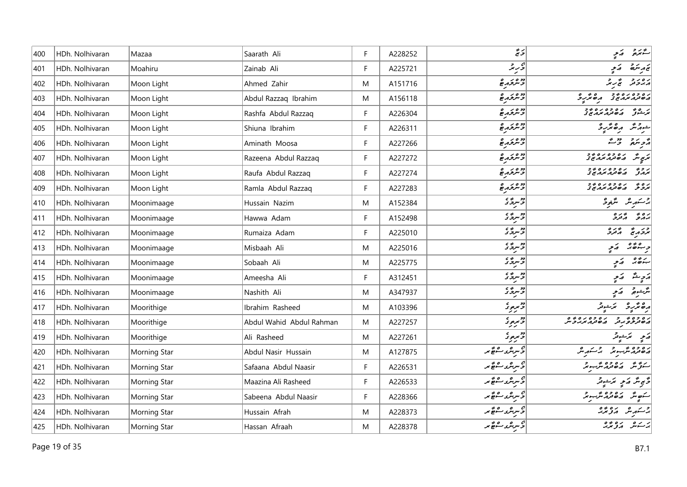| 400 | HDh. Nolhivaran | Mazaa               | Saarath Ali              | F  | A228252 | ريح                                               | سەمرە<br>ەئىر                                                             |
|-----|-----------------|---------------------|--------------------------|----|---------|---------------------------------------------------|---------------------------------------------------------------------------|
| 401 | HDh. Nolhivaran | Moahiru             | Zainab Ali               | F  | A225721 | ئەرىتە<br>                                        |                                                                           |
| 402 | HDh. Nolhivaran | Moon Light          | Ahmed Zahir              | M  | A151716 | ومشرقهم                                           |                                                                           |
| 403 | HDh. Nolhivaran | Moon Light          | Abdul Razzaq Ibrahim     | M  | A156118 | وحمر كروغ                                         | גם כם גם שיבי הפיציבים                                                    |
| 404 | HDh. Nolhivaran | Moon Light          | Rashfa Abdul Razzaq      | F  | A226304 | ومشرقهم                                           | ر وه د ره ده د و د و<br>برخون د ه تر د برد م ت                            |
| 405 | HDh. Nolhivaran | Moon Light          | Shiuna Ibrahim           | F  | A226311 | وحمر خرج                                          | ەرھ ئۆر ۋ<br>اھەرچىقە<br>پ                                                |
| 406 | HDh. Nolhivaran | Moon Light          | Aminath Moosa            | F  | A227266 | ومشرقه وهج                                        | ړې شه د حف                                                                |
| 407 | HDh. Nolhivaran | Moon Light          | Razeena Abdul Razzaq     | F  | A227272 | التشريره                                          | <i>پرې شهره وه د و</i> جود                                                |
| 408 | HDh. Nolhivaran | Moon Light          | Raufa Abdul Razzaq       | F  | A227274 | دو مرير ه                                         | 1010707<br>גם <i>בנג די</i> מש ב<br>ىر دې<br>ئىرىمۇ                       |
| 409 | HDh. Nolhivaran | Moon Light          | Ramla Abdul Razzaq       | F  | A227283 | لتشريخهم                                          | ر ٥ <i>٥ ٥ ٥ ٥ ٥ ٠</i><br>پرھ <i>تر ۾ ب</i> حر بح<br>ىر ە بۇ<br>ئىرچە بىر |
| 410 | HDh. Nolhivaran | Moonimaage          | Hussain Nazim            | M  | A152384 | دو په په<br>د سرچنۍ                               | جەسىرىش ئىتىمى ئى                                                         |
| 411 | HDh. Nolhivaran | Moonimaage          | Hawwa Adam               | F. | A152498 | יי<br>קייקבצ                                      | ر ە بە<br>برادى<br>پەر ە<br>مەنىرى                                        |
| 412 | HDh. Nolhivaran | Moonimaage          | Rumaiza Adam             | F  | A225010 | כבת כי<br>בתבצ                                    | پور ہ<br>مرکزو<br>برځ دنځ                                                 |
| 413 | HDh. Nolhivaran | Moonimaage          | Misbaah Ali              | M  | A225016 | דב ייקב ב<br>ב                                    | $z^2$ $z^3$                                                               |
| 414 | HDh. Nolhivaran | Moonimaage          | Sobaah Ali               | M  | A225775 | חי<br>ב"יקב"ב                                     | $\frac{1}{2}$ $\frac{1}{2}$ $\frac{1}{2}$                                 |
| 415 | HDh. Nolhivaran | Moonimaage          | Ameesha Ali              | F  | A312451 | دو<br>ترسرچری                                     | أروشي<br>ەكىپىيە                                                          |
| 416 | HDh. Nolhivaran | Moonimaage          | Nashith Ali              | M  | A347937 | دو په په<br>تر سرچنۍ                              | شرشوره انداز<br>سرشوره انداز<br>درهای در انداز                            |
| 417 | HDh. Nolhivaran | Moorithige          | Ibrahim Rasheed          | M  | A103396 | دد<br>څممرحو ک                                    |                                                                           |
| 418 | HDh. Nolhivaran | Moorithige          | Abdul Wahid Abdul Rahman | M  | A227257 | دد<br>څممرحو <sub>ک</sub>                         | ره وه په ده ره وه ره په و<br>پرهنر <i>ورل پر پرهند ورلو</i> س             |
| 419 | HDh. Nolhivaran | Moorithige          | Ali Rasheed              | M  | A227261 | دد<br>څنورونگ                                     | ر<br>مرمو مرشونر                                                          |
| 420 | HDh. Nolhivaran | <b>Morning Star</b> | Abdul Nasir Hussain      | M  | A127875 | ائ <sub>ڭ</sub> سرىئى <sub>مە</sub> ر مۇھىمە      | גם כם יל <sub>דו</sub> של הרי הרי לא יל                                   |
| 421 | HDh. Nolhivaran | <b>Morning Star</b> | Safaana Abdul Naasir     | F  | A226531 | <sup>چ</sup> سر سر عظیم کا میتواند که بر          | روم رەدە بەر                                                              |
| 422 | HDh. Nolhivaran | <b>Morning Star</b> | Maazina Ali Rasheed      | F  | A226533 | ر<br>كۆسرىنى <sub>د</sub> ىر سى <i>مقى</i> ر      | ۇي ئۇ مۇم ئۇسۇقر                                                          |
| 423 | HDh. Nolhivaran | <b>Morning Star</b> | Sabeena Abdul Naasir     | F. | A228366 | ر<br>ئۇسرىئرى سى <i>مۇسى</i> ر                    | سكھ شى ئەھ ترور بىر بىر                                                   |
| 424 | HDh. Nolhivaran | <b>Morning Star</b> | Hussain Afrah            | M  | A228373 | ر<br>ئ <sup>ى</sup> سرىنى <sub>م</sub> ى سىمقى سە | برسكر مركز المروجين                                                       |
| 425 | HDh. Nolhivaran | <b>Morning Star</b> | Hassan Afraah            | M  | A228378 | ئۇ سرىئرى <b>شۇ ئى</b> ر                          | برسەش مۇمۇر                                                               |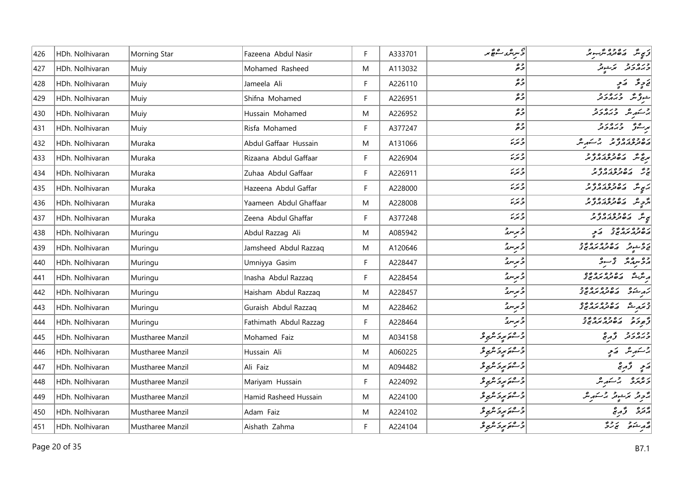| 426 | HDh. Nolhivaran | Morning Star     | Fazeena Abdul Nasir    | F         | A333701 | ئۇ سرىئرى سەھىمە                          | توي شهر مان ده مشهور                                                                                                       |
|-----|-----------------|------------------|------------------------|-----------|---------|-------------------------------------------|----------------------------------------------------------------------------------------------------------------------------|
| 427 | HDh. Nolhivaran | Muiy             | Mohamed Rasheed        | M         | A113032 | و ه<br>حرمو                               | وره رو ترجيع                                                                                                               |
| 428 | HDh. Nolhivaran | Muiy             | Jameela Ali            | F         | A226110 | و ه<br>ترخی                               | لتمحي فلتحميض وكالمحيث                                                                                                     |
| 429 | HDh. Nolhivaran | Muiy             | Shifna Mohamed         | F         | A226951 | و ه<br>حرم                                | أشوتونتر وره رو                                                                                                            |
| 430 | HDh. Nolhivaran | Muiy             | Hussain Mohamed        | M         | A226952 | و ه<br>حرمو                               | بر شهر شده در در د                                                                                                         |
| 431 | HDh. Nolhivaran | Muiy             | Risfa Mohamed          | F         | A377247 | و ه<br>حرم                                | برسوش ورەرو                                                                                                                |
| 432 | HDh. Nolhivaran | Muraka           | Abdul Gaffaar Hussain  | M         | A131066 | ويرر                                      | גם כסגם כבי הביתיות                                                                                                        |
| 433 | HDh. Nolhivaran | Muraka           | Rizaana Abdul Gaffaar  | F         | A226904 | ويرر                                      | بریج سی ده وه بره د و                                                                                                      |
| 434 | HDh. Nolhivaran | Muraka           | Zuhaa Abdul Gaffaar    | F         | A226911 | ويرر                                      | و ده ده وه ده و و<br>  پن در محمد د مرکز مر                                                                                |
| 435 | HDh. Nolhivaran | Muraka           | Hazeena Abdul Gaffar   | F         | A228000 | ويرز                                      | بری شده وه ده د و د                                                                                                        |
| 436 | HDh. Nolhivaran | Muraka           | Yaameen Abdul Ghaffaar | M         | A228008 | ويرر                                      | و مهموره ده ده در در در در در در کار کرد.<br>در کار در در در در در کار کرد کرد.                                            |
| 437 | HDh. Nolhivaran | Muraka           | Zeena Abdul Ghaffar    | F         | A377248 | ويرز                                      | ې پر ده ده ده ده د<br>د مومرم <i>دن</i> د                                                                                  |
| 438 | HDh. Nolhivaran | Muringu          | Abdul Razzag Ali       | M         | A085942 | وحمير سرح                                 | גם כסגם שב ה'ת                                                                                                             |
| 439 | HDh. Nolhivaran | Muringu          | Jamsheed Abdul Razzaq  | M         | A120646 | وحمرسر                                    | ره در دره ده دره در<br>دگره شونر در محمد براس                                                                              |
| 440 | HDh. Nolhivaran | Muringu          | Umniyya Gasim          | F         | A228447 | وحمرسر                                    | גליקודי לייד                                                                                                               |
| 441 | HDh. Nolhivaran | Muringu          | Inasha Abdul Razzaq    | F         | A228454 | وتمرسد                                    | د شرشته ده ده ده ده.<br>د سرشته د ه تورم برد مئ                                                                            |
| 442 | HDh. Nolhivaran | Muringu          | Haisham Abdul Razzaq   | M         | A228457 | ر محمد سرچ<br>محمد سرچ                    | ر<br>رکار شوش ماه محمد ماه محمد من                                                                                         |
| 443 | HDh. Nolhivaran | Muringu          | Guraish Abdul Razzaq   | M         | A228462 | ر محمد سرچ<br>محمد سرچ                    | רגת כי גם רסינס בם                                                                                                         |
| 444 | HDh. Nolhivaran | Muringu          | Fathimath Abdul Razzag | F         | A228464 | 3 مرسر 2                                  | 22010201 212                                                                                                               |
| 445 | HDh. Nolhivaran | Mustharee Manzil | Mohamed Faiz           | M         | A034158 | ۇ ش <sub>ەھ</sub> م بەر ئەر بور           | ورەر ئەرە                                                                                                                  |
| 446 | HDh. Nolhivaran | Mustharee Manzil | Hussain Ali            | M         | A060225 | ۇ ش <sub>ەھ</sub> مەر ئەش <sub>كى</sub> ر | بر مس <sub>ا</sub> ر شهر مدرج به مرکز به مرکز به مرکز به مرکز به مرکز به مرکز به مرکز به مرکز به مرکز به مرکز به مرکز به ا |
| 447 | HDh. Nolhivaran | Mustharee Manzil | Ali Faiz               | ${\sf M}$ | A094482 | ۇ سىم ئېرى <i>خ مىڭ بى</i> ر              | $\begin{array}{cc} \circ & \circ \\ \circ & \circ \end{array}$                                                             |
| 448 | HDh. Nolhivaran | Mustharee Manzil | Mariyam Hussain        | F         | A224092 | ۇ مەم پرۇش <sub>كى</sub> ۋ                | رەرە ئەسكەش                                                                                                                |
| 449 | HDh. Nolhivaran | Mustharee Manzil | Hamid Rasheed Hussain  | ${\sf M}$ | A224100 | ۇس <sub></sub> مۇمرۇش <sub>ى</sub> رۇ     | رحمي أيمس المستقرية                                                                                                        |
| 450 | HDh. Nolhivaran | Mustharee Manzil | Adam Faiz              | M         | A224102 | ۇ سىم <i>ۇ بېرىڭ بىر بى</i> ر             | وره و دره                                                                                                                  |
| 451 | HDh. Nolhivaran | Mustharee Manzil | Aishath Zahma          | F         | A224104 | ۇ س <sub></sub> مۇمرى <i>خ مىنى</i> بى    | و در دور<br>مرد شوی می دی                                                                                                  |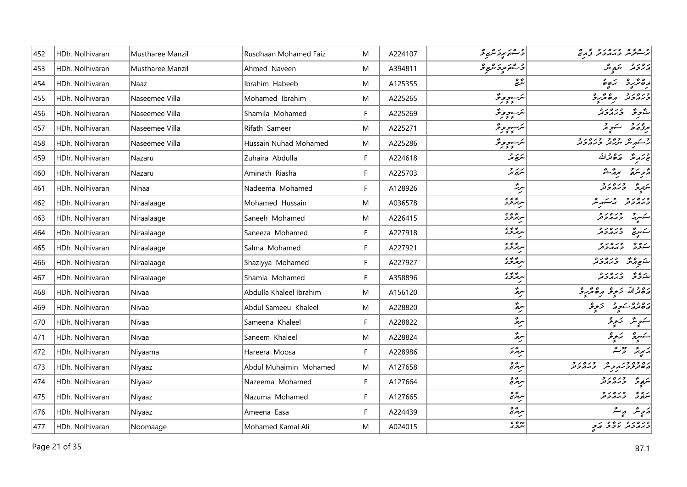| 452 | HDh. Nolhivaran | Mustharee Manzil | Rusdhaan Mohamed Faiz   | M  | A224107 | ئەسىم بېرىخ شىبى ئى         | و مور وره دو و و                                                                                                                                                                                                                |
|-----|-----------------|------------------|-------------------------|----|---------|-----------------------------|---------------------------------------------------------------------------------------------------------------------------------------------------------------------------------------------------------------------------------|
| 453 | HDh. Nolhivaran | Mustharee Manzil | Ahmed Naveen            | M  | A394811 | ۇ سىم ئېرىكىرى<br>مەسىم ئىس | دەرجە سكىم ش                                                                                                                                                                                                                    |
| 454 | HDh. Nolhivaran | Naaz             | Ibrahim Habeeb          | M  | A125355 | سرچ                         |                                                                                                                                                                                                                                 |
| 455 | HDh. Nolhivaran | Naseemee Villa   | Mohamed Ibrahim         | M  | A225265 | ىئرسوچە بۇ ئى               |                                                                                                                                                                                                                                 |
| 456 | HDh. Nolhivaran | Naseemee Villa   | Shamila Mohamed         | F  | A225269 | ىئرسوچە بۇ<br>ئىستىقى بەر   | و ره ر و<br>تر پر ژمر<br>ڪ <sub>و</sub> ر                                                                                                                                                                                       |
| 457 | HDh. Nolhivaran | Naseemee Villa   | Rifath Sameer           | M  | A225271 | ىئەسىرە بەر<br>ئىقىقىم      | بروژه پر سند پر                                                                                                                                                                                                                 |
| 458 | HDh. Nolhivaran | Naseemee Villa   | Hussain Nuhad Mohamed   | M  | A225286 | ىئەسىرە دۇ.<br>ئىستىقىلىشى  | او مهر شرور وره د و<br> پرستهر شر شریر و بر مرو تر                                                                                                                                                                              |
| 459 | HDh. Nolhivaran | Nazaru           | Zuhaira Abdulla         | F  | A224618 | سرنج تئر                    | ج <i>ترمريحة   مركاة هو</i> الله                                                                                                                                                                                                |
| 460 | HDh. Nolhivaran | Nazaru           | Aminath Riasha          | F  | A225703 | سرچ پر                      | أزويتم برزشه                                                                                                                                                                                                                    |
| 461 | HDh. Nolhivaran | Nihaa            | Nadeema Mohamed         | F. | A128926 | سرچ                         | شریدهٔ ویره دو                                                                                                                                                                                                                  |
| 462 | HDh. Nolhivaran | Niraalaage       | Mohamed Hussain         | M  | A036578 | سرپڑنوی                     | ورەرو ئەسكەش                                                                                                                                                                                                                    |
| 463 | HDh. Nolhivaran | Niraalaage       | Saneeh Mohamed          | M  | A226415 | سرپڑی                       | و رە ر د<br>تر پر پر تر<br>سەسىر                                                                                                                                                                                                |
| 464 | HDh. Nolhivaran | Niraalaage       | Saneeza Mohamed         | F  | A227918 | سرپڑنوی                     | سكسرة وبرورو                                                                                                                                                                                                                    |
| 465 | HDh. Nolhivaran | Niraalaage       | Salma Mohamed           | F  | A227921 | سرپڑی<br>سرپڑیون            | روه دره دد                                                                                                                                                                                                                      |
| 466 | HDh. Nolhivaran | Niraalaage       | Shaziyya Mohamed        | F  | A227927 | سرپڑی                       | شوم وره در                                                                                                                                                                                                                      |
| 467 | HDh. Nolhivaran | Niraalaage       | Shamla Mohamed          | F  | A358896 | سرپڑ پڑی                    | شكاه ورەر د                                                                                                                                                                                                                     |
| 468 | HDh. Nolhivaran | Nivaa            | Abdulla Khaleel Ibrahim | M  | A156120 | سرچ                         | رەداللە ئەدپۇ رەھزىر                                                                                                                                                                                                            |
| 469 | HDh. Nolhivaran | Nivaa            | Abdul Sameeu Khaleel    | M  | A228820 | سرچ                         | גە دە بەر ئىرو                                                                                                                                                                                                                  |
| 470 | HDh. Nolhivaran | Nivaa            | Sameena Khaleel         | F  | A228822 | سرچٌ<br>╭                   | ڪوپڙ ڏوِوُ                                                                                                                                                                                                                      |
| 471 | HDh. Nolhivaran | Nivaa            | Saneem Khaleel          | M  | A228824 | سرچ                         |                                                                                                                                                                                                                                 |
| 472 | HDh. Nolhivaran | Niyaama          | Hareera Moosa           | F  | A228986 | سرمر                        |                                                                                                                                                                                                                                 |
| 473 | HDh. Nolhivaran | Niyaaz           | Abdul Muhaimin Mohamed  | M  | A127658 | سرپره<br>سرچر               | גם כם כגב ביו היה ביו היה היה ביו היה ביו היה ביו היה ביו היה ביו היה ביו היה ביו היה ביו היה ביו היה ביו היה<br>היישוב ביו ביו היה ביו היה ביו ביו היה ביו היה ביו היה ביו היה ביו היה ביו היה ביו היה ביו היה בין היה בין היה |
| 474 | HDh. Nolhivaran | Niyaaz           | Nazeema Mohamed         | F  | A127664 | سرپڑھ                       | بترة ورەرد                                                                                                                                                                                                                      |
| 475 | HDh. Nolhivaran | Niyaaz           | Nazuma Mohamed          | F. | A127665 | سرپڑھ                       | سروپر<br>و رە ر د<br><i>د ب</i> رگرىز                                                                                                                                                                                           |
| 476 | HDh. Nolhivaran | Niyaaz           | Ameena Easa             | F  | A224439 | سرمرج                       | أرَدٍ شَرَ رَسُدً                                                                                                                                                                                                               |
| 477 | HDh. Nolhivaran | Noomaage         | Mohamed Kamal Ali       | M  | A024015 | وو پر پر<br>سرچ پ           |                                                                                                                                                                                                                                 |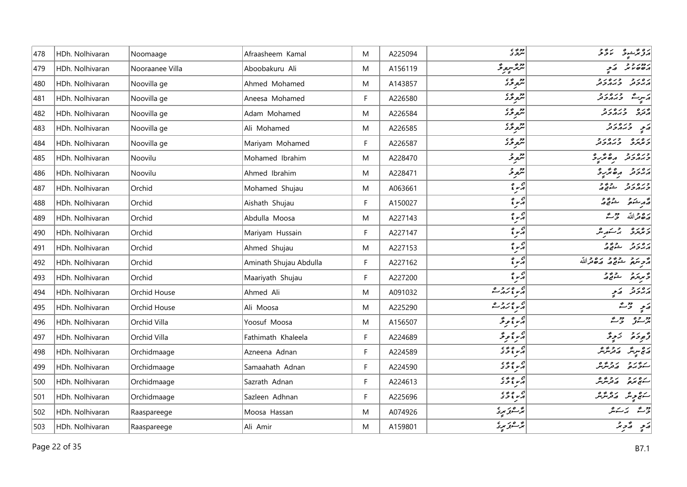| 478 | HDh. Nolhivaran | Noomaage        | Afraasheem Kamal       | M           | A225094 | وو پر پر<br>سرچ پ                | <i>ړو پژ</i> خو کرو د                                                       |
|-----|-----------------|-----------------|------------------------|-------------|---------|----------------------------------|-----------------------------------------------------------------------------|
| 479 | HDh. Nolhivaran | Nooraanee Villa | Aboobakuru Ali         | M           | A156119 | تربر يبر <sub>عر</sub> تر        |                                                                             |
| 480 | HDh. Nolhivaran | Noovilla ge     | Ahmed Mohamed          | M           | A143857 | دد<br>متر <sub>جو</sub> بحری     | و ر ه ر د<br>تر بر بر تر<br>پرور و                                          |
| 481 | HDh. Nolhivaran | Noovilla ge     | Aneesa Mohamed         | F           | A226580 | دد<br>متر <sub>کو</sub> بخری     | و ره ر و<br><i>و پر</i> و تر<br> پرسپەتشە<br>                               |
| 482 | HDh. Nolhivaran | Noovilla ge     | Adam Mohamed           | M           | A226584 | دد<br>شرع څر                     | وره وره رو<br>مدرد وبرمارو                                                  |
| 483 | HDh. Nolhivaran | Noovilla ge     | Ali Mohamed            | M           | A226585 | دد<br>متره پوځو                  | أمر وره رو                                                                  |
| 484 | HDh. Nolhivaran | Noovilla ge     | Mariyam Mohamed        | F           | A226587 | دد<br>متر <sub>کفر</sub> تخری    | و ره ر و<br><i>و ټ</i> ه <del>و</del> تر<br>ر ه ر ه<br><del>ر</del> بر بر ژ |
| 485 | HDh. Nolhivaran | Noovilu         | Mohamed Ibrahim        | M           | A228470 | لترهر فحر                        | כמתכת תפתיק                                                                 |
| 486 | HDh. Nolhivaran | Noovilu         | Ahmed Ibrahim          | M           | A228471 | لترهر فحر                        | גפנק הפתיק                                                                  |
| 487 | HDh. Nolhivaran | Orchid          | Mohamed Shujau         | M           | A063661 | $rac{1}{2}$                      | ور ه ر و د و و<br>تر پر پر د سوخ پر                                         |
| 488 | HDh. Nolhivaran | Orchid          | Aishath Shujau         | F           | A150027 | $rac{1}{2}$                      | و مر شده<br>م<br>شقوقه و                                                    |
| 489 | HDh. Nolhivaran | Orchid          | Abdulla Moosa          | M           | A227143 | $rac{1}{2}$                      | مَدْهِ قَرْ اللّه وَ حَ                                                     |
| 490 | HDh. Nolhivaran | Orchid          | Mariyam Hussain        | F           | A227147 | $rac{1}{2}$                      | دەرە بىركىر                                                                 |
| 491 | HDh. Nolhivaran | Orchid          | Ahmed Shujau           | M           | A227153 | $\ddot{\mathbf{r}}$              | رەر دەرد.<br>مەركى شەق                                                      |
| 492 | HDh. Nolhivaran | Orchid          | Aminath Shujau Abdulla | $\mathsf F$ | A227162 | لرمره                            | محر مترد معظم مقادرة والله                                                  |
| 493 | HDh. Nolhivaran | Orchid          | Maariyath Shujau       | F           | A227200 | $\frac{1}{2}$                    | و در دور<br>د برمره شون <sub>و</sub> ر                                      |
| 494 | HDh. Nolhivaran | Orchid House    | Ahmed Ali              | M           | A091032 | ې ور ده<br>مړينه                 | أرور و المستحقيق                                                            |
| 495 | HDh. Nolhivaran | Orchid House    | Ali Moosa              | M           | A225290 |                                  | أريموا المحرمة                                                              |
| 496 | HDh. Nolhivaran | Orchid Villa    | Yoosuf Moosa           | M           | A156507 | ەر بە ئوقر                       | در ده در ش                                                                  |
| 497 | HDh. Nolhivaran | Orchid Villa    | Fathimath Khaleela     | F           | A224689 | وسوء وقر                         | وٌمِ وَءُ وَ وَ وَ وَ                                                       |
| 498 | HDh. Nolhivaran | Orchidmaage     | Azneena Adnan          | $\mathsf F$ | A224589 | 55212                            | ره سرین <sub>م</sub> رکزین<br>مربح سرین مرکزین                              |
| 499 | HDh. Nolhivaran | Orchidmaage     | Samaahath Adnan        | $\mathsf F$ | A224590 |                                  |                                                                             |
| 500 | HDh. Nolhivaran | Orchidmaage     | Sazrath Adnan          | F           | A224613 |                                  | رەپرو پروروم                                                                |
| 501 | HDh. Nolhivaran | Orchidmaage     | Sazleen Adhnan         | $\mathsf F$ | A225696 |                                  | أستهويش المقرشر                                                             |
| 502 | HDh. Nolhivaran | Raaspareege     | Moosa Hassan           | M           | A074926 | <br>  مگر شوبی می <sub>و</sub> ی | وحرثته الإسكانكر                                                            |
| 503 | HDh. Nolhivaran | Raaspareege     | Ali Amir               | M           | A159801 | ېژىسى <i>تى بىر</i> ئە           | أرشح المرجر                                                                 |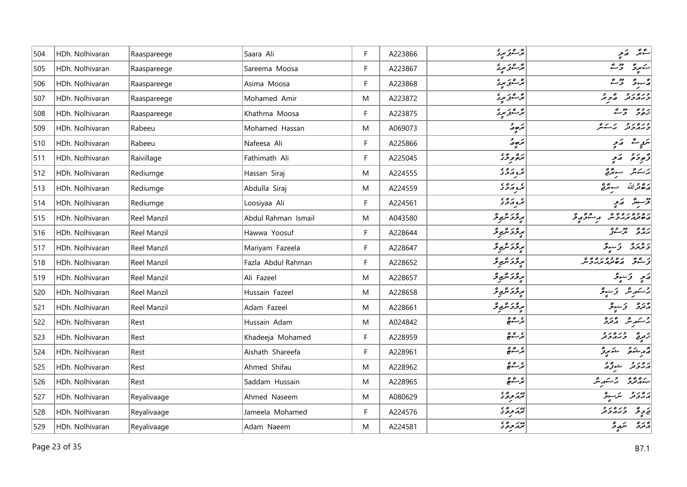| 504 | HDh. Nolhivaran | Raaspareege        | Saara Ali           | F  | A223866 | ېژىش <sub>ن</sub> ۇ ئىر <sub>ى</sub> | سەئىر<br>رځمنې                                    |
|-----|-----------------|--------------------|---------------------|----|---------|--------------------------------------|---------------------------------------------------|
| 505 | HDh. Nolhivaran | Raaspareege        | Sareema Moosa       | F. | A223867 | ېژىسى <i>تى بېر</i> ى                | سەمبەر<br>دو مح                                   |
| 506 | HDh. Nolhivaran | Raaspareege        | Asima Moosa         | F. | A223868 | ن <sup>ې</sup> ر شوتو سرچ            | وتسبيرة<br>دين شهر                                |
| 507 | HDh. Nolhivaran | Raaspareege        | Mohamed Amir        | M  | A223872 | ېږ ه د سره<br>مرگور سره              | -----------                                       |
| 508 | HDh. Nolhivaran | Raaspareege        | Khathma Moosa       | F. | A223875 | پر قرار دي.<br>مرگ ورکوري            | ر وه او دو                                        |
| 509 | HDh. Nolhivaran | Rabeeu             | Mohamed Hassan      | M  | A069073 | ر<br>برّه پر                         | ورەرو پەسەر                                       |
| 510 | HDh. Nolhivaran | Rabeeu             | Nafeesa Ali         | F  | A225866 | ر<br>برّه پر                         | أسمع يتسمح أوسيح                                  |
| 511 | HDh. Nolhivaran | Raivillage         | Fathimath Ali       | F  | A225045 | برە وېژ                              |                                                   |
| 512 | HDh. Nolhivaran | Rediumge           | Hassan Siraj        | M  | A224555 | ې ده ده<br>مرد مرکز                  | برسەپىر<br>سوپر<br>پ                              |
| 513 | HDh. Nolhivaran | Rediumge           | Abdulla Siraj       | M  | A224559 | بموزده                               | برە قراللە<br>سوئدة                               |
| 514 | HDh. Nolhivaran | Rediumge           | Loosiyaa Ali        | F  | A224561 | بمورزه ،                             | لترسيش كمنع                                       |
| 515 | HDh. Nolhivaran | Reel Manzil        | Abdul Rahman Ismail | M  | A043580 | بردد شهرد                            | ر ه د ه د ه د ه<br>پره تر بر بر تر س<br>ەرسەۋەپەي |
| 516 | HDh. Nolhivaran | Reel Manzil        | Hawwa Yoosuf        | F  | A228644 | برود عبود                            | بره په دوروه                                      |
| 517 | HDh. Nolhivaran | <b>Reel Manzil</b> | Mariyam Fazeela     | F  | A228647 | ىر ۋۇ ئىرىپە ۋ                       | رەرە ئەسىر                                        |
| 518 | HDh. Nolhivaran | <b>Reel Manzil</b> | Fazla Abdul Rahman  | F  | A228652 | <br>  <sub>مو</sub> ىۋە مىرىمى ئى    | ر ەپر رەدەرەپەر<br>ئىنىۋە مەھىم <i>مەركى</i> ر    |
| 519 | HDh. Nolhivaran | <b>Reel Manzil</b> | Ali Fazeel          | M  | A228657 | <sub>ىر</sub> ور م <sub>ىر</sub> و   | ەي تەنبەنى                                        |
| 520 | HDh. Nolhivaran | <b>Reel Manzil</b> | Hussain Fazeel      | M  | A228658 | ىر دىر شرىر د                        | چەشىر تەسىر                                       |
| 521 | HDh. Nolhivaran | Reel Manzil        | Adam Fazeel         | M  | A228661 | برود عبود                            | وره ذئبو                                          |
| 522 | HDh. Nolhivaran | Rest               | Hussain Adam        | M  | A024842 | برعوه                                | جر مشهر معرفته المجموعة                           |
| 523 | HDh. Nolhivaran | Rest               | Khadeeja Mohamed    | F. | A228959 | برعي                                 | ئر تورنج<br>س<br>و رە ر د<br>تر پر تر تر          |
| 524 | HDh. Nolhivaran | Rest               | Aishath Shareefa    | F  | A228961 | برعي                                 | و <sub>گ</sub> رڪو ڪپرڙ                           |
| 525 | HDh. Nolhivaran | Rest               | Ahmed Shifau        | M  | A228962 | برعي                                 | رەرو جۇر                                          |
| 526 | HDh. Nolhivaran | Rest               | Saddam Hussain      | M  | A228965 | برعو                                 | بە ھەم ھ<br>برسەمەرىش                             |
| 527 | HDh. Nolhivaran | Reyalivaage        | Ahmed Naseem        | M  | A080629 | ير<br>تروتر و <sup>ي</sup>           | ى <i>رەبەد سەب</i>                                |
| 528 | HDh. Nolhivaran | Reyalivaage        | Jameela Mohamed     | F. | A224576 | <br>  پورم یوځ ی                     | و ره ر و<br><i>و ټ</i> رو تر<br>  تع حر محّر      |
| 529 | HDh. Nolhivaran | Reyalivaage        | Adam Naeem          | M  | A224581 | در در در<br>بود <del>و</del> و د     | وره سمده                                          |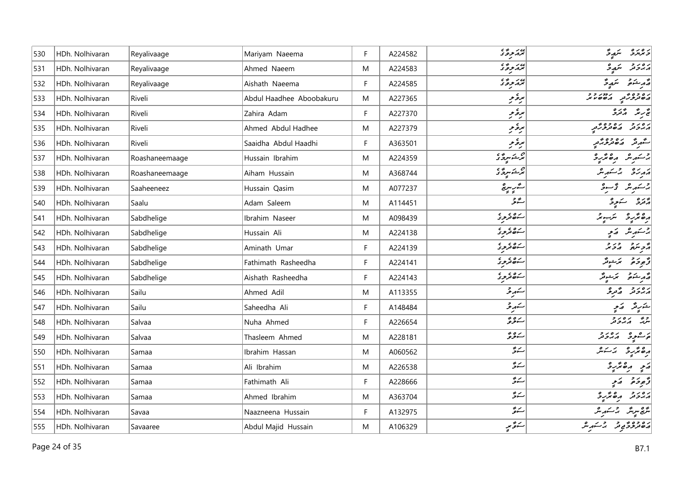| 530 | HDh. Nolhivaran | Reyalivaage    | Mariyam Naeema           | F.          | A224582 | ں ر<br>محمد موح                  | ئەنگەر ئ<br>سَمِيرةَ               |
|-----|-----------------|----------------|--------------------------|-------------|---------|----------------------------------|------------------------------------|
| 531 | HDh. Nolhivaran | Reyalivaage    | Ahmed Naeem              | M           | A224583 | ں ریے<br>تربر پوری               | پر 9 پر 5<br>سَمِيرة               |
| 532 | HDh. Nolhivaran | Reyalivaage    | Aishath Naeema           | F           | A224585 | ں ر<br>بھر پڑھ ی                 | ۇ مەشقەمى<br>مەرىشىمى<br>سكيرتز    |
| 533 | HDh. Nolhivaran | Riveli         | Abdul Haadhee Aboobakuru | M           | A227365 | برة و                            | גם כם בי גדר כב                    |
| 534 | HDh. Nolhivaran | Riveli         | Zahira Adam              | $\mathsf F$ | A227370 | برۂ م                            | يم بر مدين دي.<br>محمد مدين        |
| 535 | HDh. Nolhivaran | Riveli         | Ahmed Abdul Hadhee       | M           | A227379 | برةعر                            |                                    |
| 536 | HDh. Nolhivaran | Riveli         | Saaidha Abdul Haadhi     | $\mathsf F$ | A363501 | برۂع                             | گېږنگر مان د ورځينې                |
| 537 | HDh. Nolhivaran | Roashaneemaage | Hussain Ibrahim          | M           | A224359 | ە<br>ئىرىشە ئىرى <i>چ</i> ي      |                                    |
| 538 | HDh. Nolhivaran | Roashaneemaage | Aiham Hussain            | M           | A368744 | ە<br>ئىرىشە بېرى <sup>تى</sup> ئ | مدره برخمه                         |
| 539 | HDh. Nolhivaran | Saaheeneez     | Hussain Qasim            | M           | A077237 | سەر سرچ<br>ئ                     | 2 سىمبرىنىڭ ئۆسىد <i>ى</i>         |
| 540 | HDh. Nolhivaran | Saalu          | Adam Saleem              | M           | A114451 | سەمۇ                             | ړ ترو سکو د                        |
| 541 | HDh. Nolhivaran | Sabdhelige     | Ibrahim Naseer           | M           | A098439 | سەھ قرىرى                        | ەرھ ئ <sup>ۆ</sup> ر ۋ<br>ىئرىبەتر |
| 542 | HDh. Nolhivaran | Sabdhelige     | Hussain Ali              | M           | A224138 | ره ی د ی                         | يز سکه پش که کمپنج                 |
| 543 | HDh. Nolhivaran | Sabdhelige     | Aminath Umar             | $\mathsf F$ | A224139 | ره ه د د<br>سوه ترمور            |                                    |
| 544 | HDh. Nolhivaran | Sabdhelige     | Fathimath Rasheedha      | F           | A224141 | ره و د ه<br>سوه ترمور            | ۇي ئەم ئىشىڭر                      |
| 545 | HDh. Nolhivaran | Sabdhelige     | Aishath Rasheedha        | F           | A224143 | ره د د ،<br>سوه ترمور            | د<br>مەرشىمى ترشىق                 |
| 546 | HDh. Nolhivaran | Sailu          | Ahmed Adil               | M           | A113355 | سَهرِ قر                         | رەرو ئەربى                         |
| 547 | HDh. Nolhivaran | Sailu          | Saheedha Ali             | F           | A148484 | سەرىتى<br>س                      | شَرِيمٌ - رَمِي                    |
| 548 | HDh. Nolhivaran | Salvaa         | Nuha Ahmed               | F           | A226654 | سەۋۇ                             | المريم المردور                     |
| 549 | HDh. Nolhivaran | Salvaa         | Thasleem Ahmed           | M           | A228181 | سەۋە                             | ړه ده ده ده د د                    |
| 550 | HDh. Nolhivaran | Samaa          | Ibrahim Hassan           | M           | A060562 | سەپى                             | رەپزىر بىسكىر                      |
| 551 | HDh. Nolhivaran | Samaa          | Ali Ibrahim              | M           | A226538 | سەبىج                            | ړنو ره ټرېږ                        |
| 552 | HDh. Nolhivaran | Samaa          | Fathimath Ali            | F           | A228666 | ىدىچ                             | وٌجوحَ حَمَدٍ                      |
| 553 | HDh. Nolhivaran | Samaa          | Ahmed Ibrahim            | M           | A363704 | سەۋ                              | גפנג תפתיק                         |
| 554 | HDh. Nolhivaran | Savaa          | Naazneena Hussain        | F.          | A132975 | ستهجّ                            | لترفع سرينش الركسكر بثر            |
| 555 | HDh. Nolhivaran | Savaaree       | Abdul Majid Hussain      | M           | A106329 | سەئۇ يېر                         | رە دە دىن كەر شەر ش                |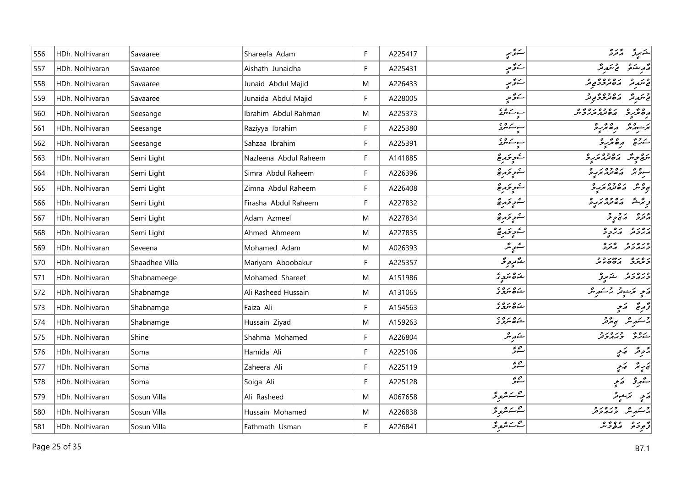| 556 | HDh. Nolhivaran | Savaaree       | Shareefa Adam         | $\mathsf F$ | A225417 | ئەۋىپە                                | شەمبرۇ<br>مەسىم<br>پژ <sub>گر</sub> ه<br>د ترو                                                                                                                                                                                                                                                                                                                                                                 |
|-----|-----------------|----------------|-----------------------|-------------|---------|---------------------------------------|----------------------------------------------------------------------------------------------------------------------------------------------------------------------------------------------------------------------------------------------------------------------------------------------------------------------------------------------------------------------------------------------------------------|
| 557 | HDh. Nolhivaran | Savaaree       | Aishath Junaidha      | $\mathsf F$ | A225431 | سەۋىمە                                |                                                                                                                                                                                                                                                                                                                                                                                                                |
| 558 | HDh. Nolhivaran | Savaaree       | Junaid Abdul Majid    | M           | A226433 | ئەۋىپە                                | ړه وه د و.<br>پره ترڅرگونو<br>و پر پر و<br>مح سر پر                                                                                                                                                                                                                                                                                                                                                            |
| 559 | HDh. Nolhivaran | Savaaree       | Junaida Abdul Majid   | F           | A228005 | استعظمير                              | י מקבל 2010 -<br>בי מקבל הסתיקקיבת                                                                                                                                                                                                                                                                                                                                                                             |
| 560 | HDh. Nolhivaran | Seesange       | Ibrahim Abdul Rahman  | M           | A225373 | اب مەنىۋى<br>ئى                       | ره وه ره د ه<br>پره تربر تر تر                                                                                                                                                                                                                                                                                                                                                                                 |
| 561 | HDh. Nolhivaran | Seesange       | Raziyya Ibrahim       | $\mathsf F$ | A225380 | سەسىتەرى<br>ئ                         |                                                                                                                                                                                                                                                                                                                                                                                                                |
| 562 | HDh. Nolhivaran | Seesange       | Sahzaa Ibrahim        | $\mathsf F$ | A225391 | بەسەھەيج                              | $rac{2}{5}$<br>ە ھەترىرى<br>مەھەترىرى                                                                                                                                                                                                                                                                                                                                                                          |
| 563 | HDh. Nolhivaran | Semi Light     | Nazleena Abdul Raheem | F           | A141885 | ر<br>سنوپخ <sup>ر</sup> ج             | ره وه ره<br>مان فرم تربر و<br>لىرچ مەيتىر                                                                                                                                                                                                                                                                                                                                                                      |
| 564 | HDh. Nolhivaran | Semi Light     | Simra Abdul Raheem    | $\mathsf F$ | A226396 | ر<br>سنوپو تر مربع                    | لسوفه مثر                                                                                                                                                                                                                                                                                                                                                                                                      |
| 565 | HDh. Nolhivaran | Semi Light     | Zimna Abdul Raheem    | $\mathsf F$ | A226408 | سكو يخرم هج                           | ە ئە ئەھەرمەرە<br>ئاجىش مەھەرمىرىي                                                                                                                                                                                                                                                                                                                                                                             |
| 566 | HDh. Nolhivaran | Semi Light     | Firasha Abdul Raheem  | F           | A227832 | سكو يحرمر هج                          | ر پڑت رہ دہ پر پر و                                                                                                                                                                                                                                                                                                                                                                                            |
| 567 | HDh. Nolhivaran | Semi Light     | Adam Azmeel           | M           | A227834 | والمحتجم وهج                          | وره دود                                                                                                                                                                                                                                                                                                                                                                                                        |
| 568 | HDh. Nolhivaran | Semi Light     | Ahmed Ahmeem          | M           | A227835 | ينو پخره<br>پ                         | גפני גלפל                                                                                                                                                                                                                                                                                                                                                                                                      |
| 569 | HDh. Nolhivaran | Seveena        | Mohamed Adam          | M           | A026393 | ء<br>و                                | وره رو په ره<br><i>وبرم</i> ونر م <i>ې</i> رو                                                                                                                                                                                                                                                                                                                                                                  |
| 570 | HDh. Nolhivaran | Shaadhee Villa | Mariyam Aboobakur     | F           | A225357 | شگ <sup>و</sup> ر <i>و</i> گر         | 77/77/<br>ر ه بر ه<br><del>ر</del> بربر ژ                                                                                                                                                                                                                                                                                                                                                                      |
| 571 | HDh. Nolhivaran | Shabnameege    | Mohamed Shareef       | M           | A151986 | لىشقەتتىرى<br>شەھىئر <sub>ىچە</sub> ئ | وبرە باھ ئىمبرا                                                                                                                                                                                                                                                                                                                                                                                                |
| 572 | HDh. Nolhivaran | Shabnamge      | Ali Rasheed Hussain   | M           | A131065 | ر ده بره <sup>د</sup>                 | ەكىم ئىر شوقر برگىتىرىكى<br>مەسىر ئىستىر                                                                                                                                                                                                                                                                                                                                                                       |
| 573 | HDh. Nolhivaran | Shabnamge      | Faiza Ali             | F           | A154563 | ر <i>ه د ه ،</i>                      | $\frac{1}{2}$ $\frac{2}{3}$ $\frac{2}{3}$                                                                                                                                                                                                                                                                                                                                                                      |
| 574 | HDh. Nolhivaran | Shabnamge      | Hussain Ziyad         | M           | A159263 | ر ده بره ،<br>شو <i>ه مرو</i> د       | ر<br>رئاستمبر سن سي پر تقریبی<br>سنگور سنگور سنگوری                                                                                                                                                                                                                                                                                                                                                            |
| 575 | HDh. Nolhivaran | Shine          | Shahma Mohamed        | F           | A226804 | شەھەر س                               | بذويح<br>و ره ر و<br><i>د ب</i> رگرفر                                                                                                                                                                                                                                                                                                                                                                          |
| 576 | HDh. Nolhivaran | Soma           | Hamida Ali            | $\mathsf F$ | A225106 | حيز                                   |                                                                                                                                                                                                                                                                                                                                                                                                                |
| 577 | HDh. Nolhivaran | Soma           | Zaheera Ali           | $\mathsf F$ | A225119 | حيو                                   | $\begin{array}{@{}c@{\hspace{1em}}c@{\hspace{1em}}c@{\hspace{1em}}c@{\hspace{1em}}c@{\hspace{1em}}c@{\hspace{1em}}c@{\hspace{1em}}c@{\hspace{1em}}c@{\hspace{1em}}c@{\hspace{1em}}c@{\hspace{1em}}c@{\hspace{1em}}c@{\hspace{1em}}c@{\hspace{1em}}c@{\hspace{1em}}c@{\hspace{1em}}c@{\hspace{1em}}c@{\hspace{1em}}c@{\hspace{1em}}c@{\hspace{1em}}c@{\hspace{1em}}c@{\hspace{1em}}c@{\hspace{1em}}c@{\hspace{$ |
| 578 | HDh. Nolhivaran | Soma           | Soiga Ali             | F           | A225128 | حيو                                   | بتوريخ<br>ەتىر                                                                                                                                                                                                                                                                                                                                                                                                 |
| 579 | HDh. Nolhivaran | Sosun Villa    | Ali Rasheed           | M           | A067658 | <u>م ئەنەھرىدى</u><br>سىستىسىمبە      | ر<br>م <i>اج المرش</i> وم                                                                                                                                                                                                                                                                                                                                                                                      |
| 580 | HDh. Nolhivaran | Sosun Villa    | Hussain Mohamed       | M           | A226838 | جمسكى عرو                             | ג הודיק ייני די היו היו בי                                                                                                                                                                                                                                                                                                                                                                                     |
| 581 | HDh. Nolhivaran | Sosun Villa    | Fathmath Usman        | F           | A226841 | <u>شر ئەشرىر ئ</u>                    | تو رو دەپرە                                                                                                                                                                                                                                                                                                                                                                                                    |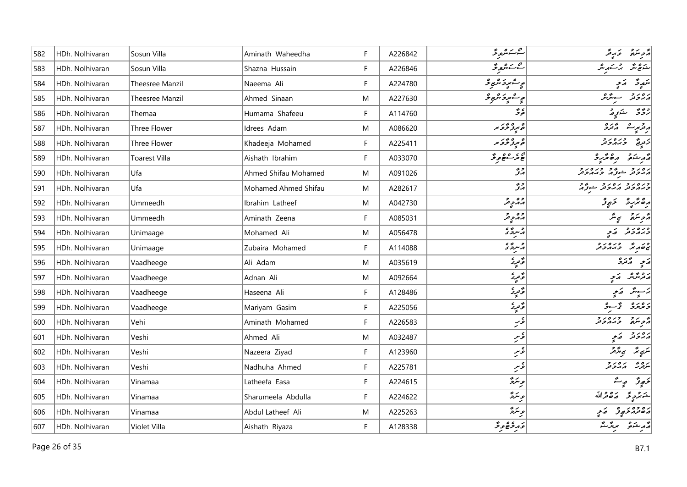| 582 | HDh. Nolhivaran | Sosun Villa            | Aminath Waheedha     | F  | A226842 | <u>شر سەھرىرى</u>                     |                                                    |
|-----|-----------------|------------------------|----------------------|----|---------|---------------------------------------|----------------------------------------------------|
| 583 | HDh. Nolhivaran | Sosun Villa            | Shazna Hussain       | F  | A226846 | <u>م كەنكەرگە</u>                     | شور من المسكر                                      |
| 584 | HDh. Nolhivaran | <b>Theesree Manzil</b> | Naeema Ali           | F  | A224780 | <sub>مو</sub> شىمەر ئىرى<br>ئ         | تتميرڈ ایکمی                                       |
| 585 | HDh. Nolhivaran | <b>Theesree Manzil</b> | Ahmed Sinaan         | M  | A227630 | مەسىمە ئەشرى                          | رەر ئەسىر                                          |
| 586 | HDh. Nolhivaran | Themaa                 | Humama Shafeeu       | F  | A114760 | ې بح<br>حوا                           | روو شرور                                           |
| 587 | HDh. Nolhivaran | Three Flower           | Idrees Adam          | M  | A086620 | مۇيدۇ ئە <i>ڭى</i> ر                  | رومړے دی۔<br>ر                                     |
| 588 | HDh. Nolhivaran | Three Flower           | Khadeeja Mohamed     | F  | A225411 | ه <sub>ر مو</sub> ژ ځرم <sub>مر</sub> | كزمرة وبرورو                                       |
| 589 | HDh. Nolhivaran | <b>Toarest Villa</b>   | Aishath Ibrahim      | F  | A033070 | ە ب <sub>ە</sub> مەھ بەر ئە           | مەم ئىسكى ئەھەر ئى                                 |
| 590 | HDh. Nolhivaran | Ufa                    | Ahmed Shifau Mohamed | M  | A091026 | پۇ                                    | גפגד בתרב דגם בדי                                  |
| 591 | HDh. Nolhivaran | Ufa                    | Mohamed Ahmed Shifau | M  | A282617 | پرمخ                                  | ورەر د رەر د جوگە                                  |
| 592 | HDh. Nolhivaran | Ummeedh                | Ibrahim Latheef      | M  | A042730 | وه چوند<br>مرمز چر                    | رەتمەد خور                                         |
| 593 | HDh. Nolhivaran | Ummeedh                | Aminath Zeena        | F  | A085031 | وه چوند<br>مرمز چر                    | أأرد سكرة المحمد بتحريث                            |
| 594 | HDh. Nolhivaran | Unimaage               | Mohamed Ali          | M  | A056478 | رسم پرچ                               | ورەرو كې                                           |
| 595 | HDh. Nolhivaran | Unimaage               | Zubaira Mohamed      | F  | A114088 | ב<br>הייקבצ                           | 37073 2708                                         |
| 596 | HDh. Nolhivaran | Vaadheege              | Ali Adam             | M  | A035619 | ۇ<br>قرىمىي                           | پَي گُرُودُ                                        |
| 597 | HDh. Nolhivaran | Vaadheege              | Adnan Ali            | M  | A092664 | په موږي<br>حر <sup>ي</sup>            | كەنترىترىتر كەبچ                                   |
| 598 | HDh. Nolhivaran | Vaadheege              | Haseena Ali          | F  | A128486 | ۇ<br>ق <sub>ى</sub> مىي               | پرسېد پرېږ                                         |
| 599 | HDh. Nolhivaran | Vaadheege              | Mariyam Gasim        | F  | A225056 | ۇ<br>ق <sub>ىت</sub> بەر              | $rac{1}{2}$<br>$rac{1}{2}$                         |
| 600 | HDh. Nolhivaran | Vehi                   | Aminath Mohamed      | F. | A226583 | ه<br>حرب                              | و ر ه ر و<br>تر پر ژ تر<br> أرمح سره               |
| 601 | HDh. Nolhivaran | Veshi                  | Ahmed Ali            | M  | A032487 | ء<br>حرمر                             | دەرد كې                                            |
| 602 | HDh. Nolhivaran | Veshi                  | Nazeera Ziyad        | F  | A123960 | اء<br>موس                             | سَمِهِ مَدَّ سِرْتَر                               |
| 603 | HDh. Nolhivaran | Veshi                  | Nadhuha Ahmed        | F  | A225781 | ء<br>حرمر                             | سرور<br>بر ٥ پر و<br>م <i>ر</i> بر <del>و</del> تر |
| 604 | HDh. Nolhivaran | Vinamaa                | Latheefa Easa        | F  | A224615 | عريتر                                 | توجوڙ پاٿ                                          |
| 605 | HDh. Nolhivaran | Vinamaa                | Sharumeela Abdulla   | F  | A224622 | عبة مترقحه                            | ڪ <i>مرد قت</i> ه مرگ قرالله                       |
| 606 | HDh. Nolhivaran | Vinamaa                | Abdul Latheef Ali    | M  | A225263 | عريتمر                                |                                                    |
| 607 | HDh. Nolhivaran | Violet Villa           | Aishath Riyaza       | F  | A128338 | ءَ مرځه عرځه                          | وكرم شكوة المحرمر كمركبة                           |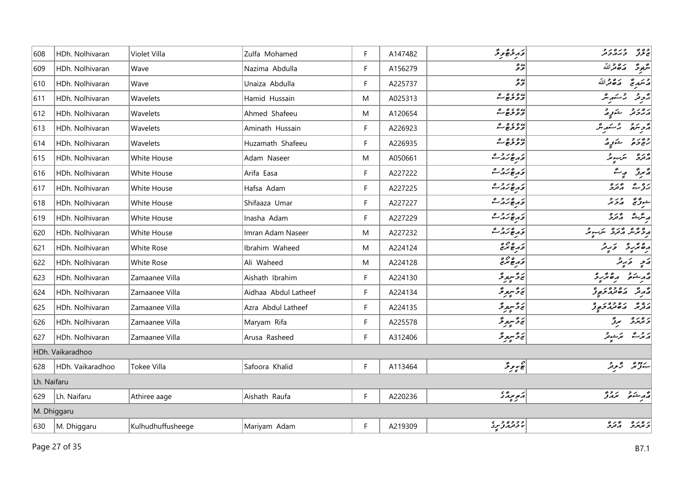| 608         | HDh. Nolhivaran  | Violet Villa       | Zulfa Mohamed        | F  | A147482 | ءَ ٻر ڦوهو ڦُ                 | و ره ر د<br><i>د ب</i> رگرفر<br>وە بە<br>يى ترگ |
|-------------|------------------|--------------------|----------------------|----|---------|-------------------------------|-------------------------------------------------|
| 609         | HDh. Nolhivaran  | Wave               | Nazima Abdulla       | F  | A156279 | ړه<br>وگ                      | متزمزقه<br>مَصْعَراللَّه                        |
| 610         | HDh. Nolhivaran  | Wave               | Unaiza Abdulla       | F  | A225737 | ړه ه<br>حرح                   | وتتريح وكافرالله                                |
| 611         | HDh. Nolhivaran  | Wavelets           | Hamid Hussain        | M  | A025313 | ړ، ه ، ه ره<br><i>و و</i> و ه | بجاجاته الجاسكير مكر                            |
| 612         | HDh. Nolhivaran  | Wavelets           | Ahmed Shafeeu        | M  | A120654 | ۵ <i>۵ ۵ ۵ ۵</i> م            | رەر ئىكتار ئا                                   |
| 613         | HDh. Nolhivaran  | Wavelets           | Aminath Hussain      | F  | A226923 | ړ، ه ، ه ره<br><i>و و</i> و ه | أوسكة فيسكرهم                                   |
| 614         | HDh. Nolhivaran  | Wavelets           | Huzamath Shafeeu     | F  | A226935 | ءہ و ء ھ ہے                   | د در د شکړه.                                    |
| 615         | HDh. Nolhivaran  | <b>White House</b> | Adam Naseer          | M  | A050661 | ورء برزم                      | أركون الكرسوسي                                  |
| 616         | HDh. Nolhivaran  | <b>White House</b> | Arifa Easa           | F  | A227222 | ۇرۇر ئەر                      | ويتقي<br>ومجروش                                 |
| 617         | HDh. Nolhivaran  | <b>White House</b> | Hafsa Adam           | F  | A227225 | وَرِءِ رَمْرُ ٿُ              | رە بە<br>برى بەشە<br>پور ہ<br>پر تر تر          |
| 618         | HDh. Nolhivaran  | <b>White House</b> | Shifaaza Umar        | F  | A227227 | ەر ۋىر ئە                     | شورٌ مَجَ<br> -<br>ەرىر                         |
| 619         | HDh. Nolhivaran  | <b>White House</b> | Inasha Adam          | F  | A227229 | وَرِءِ رَمْرُ ٿُ              | ە ئىرىشقا ئەترو                                 |
| 620         | HDh. Nolhivaran  | <b>White House</b> | Imran Adam Naseer    | M  | A227232 | ەر ھەر ئە                     | ە ئەھرە ئەرە ئىرلىدىگ                           |
| 621         | HDh. Nolhivaran  | <b>White Rose</b>  | Ibrahim Waheed       | M  | A224124 |                               | مەھەرد كەبىر                                    |
| 622         | HDh. Nolhivaran  | <b>White Rose</b>  | Ali Waheed           | M  | A224128 |                               | ەكىيە ھەرىتر                                    |
| 623         | HDh. Nolhivaran  | Zamaanee Villa     | Aishath Ibrahim      | F  | A224130 | ى<br>ئەقرىبورگە               |                                                 |
| 624         | HDh. Nolhivaran  | Zamaanee Villa     | Aidhaa Abdul Latheef | F  | A224134 | ئە ئەسرە ب <sup>ى</sup> ر     | 2020 1020 2020                                  |
| 625         | HDh. Nolhivaran  | Zamaanee Villa     | Azra Abdul Latheef   | F. | A224135 | <br> ئ <sub>ە</sub> ئەسرە بە  | ره ده ده ده در و                                |
| 626         | HDh. Nolhivaran  | Zamaanee Villa     | Maryam Rifa          | F  | A225578 | ئە ئەسرە <sub>ر</sub> ئە      | د ۱۵ د ترو                                      |
| 627         | HDh. Nolhivaran  | Zamaanee Villa     | Arusa Rasheed        | F  | A312406 | <br>  ئەڭرىبورگە              | كالكر كمراكب المركب وكر                         |
|             | HDh. Vaikaradhoo |                    |                      |    |         |                               |                                                 |
| 628         | HDh. Vaikaradhoo | <b>Tokee Villa</b> | Safoora Khalid       | F  | A113464 | غې پورځه<br>                  | ردوي ژونر                                       |
| Lh. Naifaru |                  |                    |                      |    |         |                               |                                                 |
| 629         | Lh. Naifaru      | Athiree aage       | Aishath Raufa        | F  | A220236 | پر مورژ د                     | د.<br>مگر شوی محمد فر                           |
| M. Dhiggaru |                  |                    |                      |    |         |                               |                                                 |
| 630         | M. Dhiggaru      | Kulhudhuffusheege  | Mariyam Adam         | F  | A219309 | د د د ه و د پ<br>با ندې پرې   | ر ه ر ه<br><del>ر</del> بربر ژ<br>پور ہ<br>مرکز |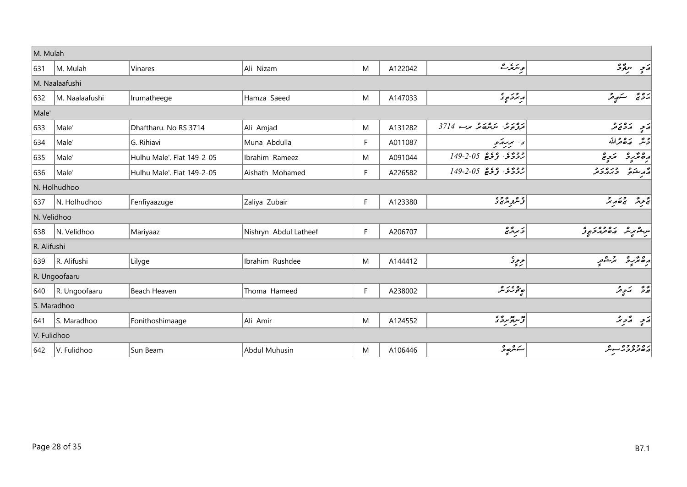| M. Mulah    |                |                            |                       |           |         |                                      |                                                        |
|-------------|----------------|----------------------------|-----------------------|-----------|---------|--------------------------------------|--------------------------------------------------------|
| 631         | M. Mulah       | <b>Vinares</b>             | Ali Nizam             | M         | A122042 | ریمربر شه                            | أرشح سرقرقر                                            |
|             | M. Naalaafushi |                            |                       |           |         |                                      |                                                        |
| 632         | M. Naalaafushi | Irumatheege                | Hamza Saeed           | M         | A147033 | برترځ مو ځ                           | پرونځ کے په تر                                         |
| Male'       |                |                            |                       |           |         |                                      |                                                        |
| 633         | Male'          | Dhaftharu. No RS 3714      | Ali Amjad             | M         | A131282 | ارەر ئەس ئىر ھەتمە ئەسىر 3714        | أتكمي برورد                                            |
| 634         | Male'          | G. Rihiavi                 | Muna Abdulla          | F.        | A011087 | ى بىرىدۇ                             | حِسَّر صَصَّراللَّه                                    |
| 635         | Male'          | Hulhu Male'. Flat 149-2-05 | Ibrahim Rameez        | M         | A091044 | $149 - 2 - 05$ وَوَصَعَ $2 - 2 - 05$ | أرە ئۇر ئە ئىرچ                                        |
| 636         | Male'          | Hulhu Male'. Flat 149-2-05 | Aishath Mohamed       | F         | A226582 | $149 - 2 - 05$ وَوَصَعَ $65$         | ه دره دره دره<br>مگرشوی دربردنر                        |
|             | N. Holhudhoo   |                            |                       |           |         |                                      |                                                        |
| 637         | N. Holhudhoo   | Fenfiyaazuge               | Zaliya Zubair         | F         | A123380 | ې ش <sub>م</sub> و پېژنې د           | $\begin{bmatrix} 2 & 2 & 3 \\ 2 & 2 & 3 \end{bmatrix}$ |
|             | N. Velidhoo    |                            |                       |           |         |                                      |                                                        |
| 638         | N. Velidhoo    | Mariyaaz                   | Nishryn Abdul Latheef | F         | A206707 | ر<br>تر بر پر مح                     | سرڪي سره ده دره وي                                     |
| R. Alifushi |                |                            |                       |           |         |                                      |                                                        |
| 639         | R. Alifushi    | Lilyge                     | Ibrahim Rushdee       | ${\sf M}$ | A144412 | عرموته                               | رەنژرد ترشىر                                           |
|             | R. Ungoofaaru  |                            |                       |           |         |                                      |                                                        |
| 640         | R. Ungoofaaru  | Beach Heaven               | Thoma Hameed          | F         | A238002 | پەن <sub>م</sub> رىر مىر             | پُرځ پر ټر پر                                          |
|             | S. Maradhoo    |                            |                       |           |         |                                      |                                                        |
| 641         | S. Maradhoo    | Fonithoshimaage            | Ali Amir              | M         | A124552 | تر سرچريز کا                         | ړې پر د                                                |
|             | V. Fulidhoo    |                            |                       |           |         |                                      |                                                        |
| 642         | V. Fulidhoo    | Sun Beam                   | Abdul Muhusin         | M         | A106446 | سەھەر                                | ره وه وه<br>پره تربو تر سوس                            |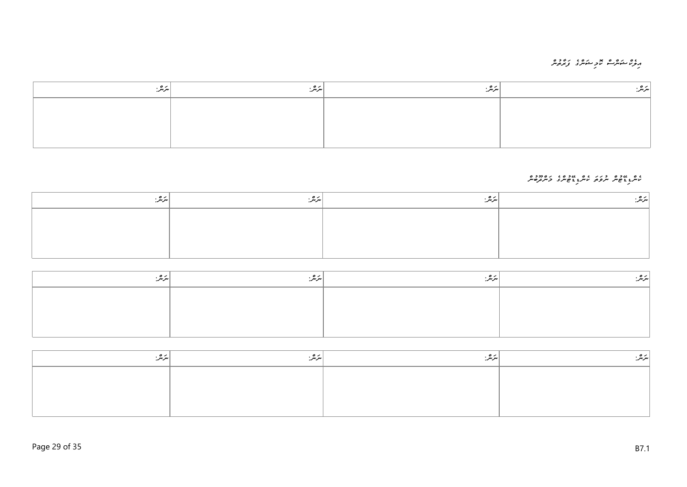## *w7qAn8m? sCw7mRo>u; wEw7mRw;sBo<*

| ' مرمر | 'يئرىثر: |
|--------|----------|
|        |          |
|        |          |
|        |          |

## *w7q9r@w7m> sCw7qHtFoFw7s; mAm=q7 w7qHtFoFw7s;*

| ىر تە | $\mathcal{O} \times$<br>$\sim$ | $\sim$<br>. . | لترنثر |
|-------|--------------------------------|---------------|--------|
|       |                                |               |        |
|       |                                |               |        |
|       |                                |               |        |

| انترنثر: | $^{\circ}$ | يبرهر | $^{\circ}$<br>سرسر |
|----------|------------|-------|--------------------|
|          |            |       |                    |
|          |            |       |                    |
|          |            |       |                    |

| ىرتىر: | 。<br>سر سر | .,<br>مرسر |
|--------|------------|------------|
|        |            |            |
|        |            |            |
|        |            |            |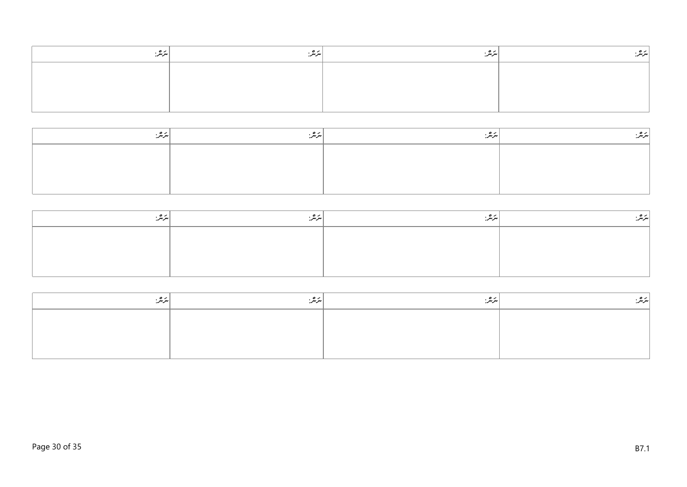| يره. | ο. | ا بر هن |  |
|------|----|---------|--|
|      |    |         |  |
|      |    |         |  |
|      |    |         |  |

| <sup>.</sup> سرسر. |  |
|--------------------|--|
|                    |  |
|                    |  |
|                    |  |

| ىئرىتر. | $\sim$ | ا بر هه. | ' ئىرتىر |
|---------|--------|----------|----------|
|         |        |          |          |
|         |        |          |          |
|         |        |          |          |

| 。<br>مرس. | $\overline{\phantom{a}}$<br>مر مىر | يتريثر |
|-----------|------------------------------------|--------|
|           |                                    |        |
|           |                                    |        |
|           |                                    |        |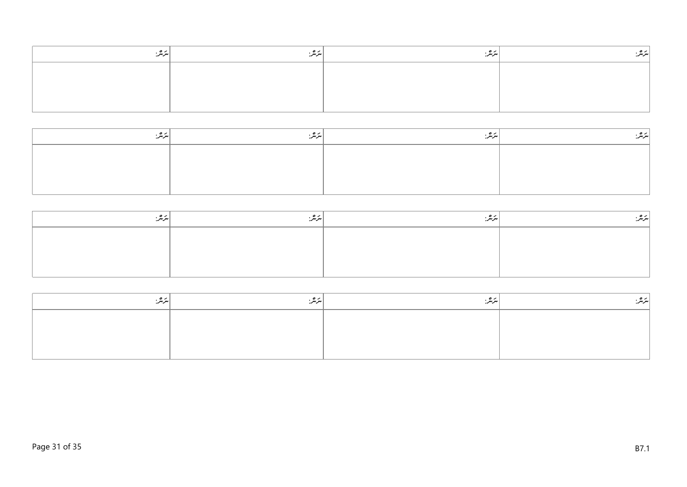| ير هو . | $\overline{\phantom{a}}$ | يرمر | اير هنه. |
|---------|--------------------------|------|----------|
|         |                          |      |          |
|         |                          |      |          |
|         |                          |      |          |

| ئىرتىر: | $\sim$<br>ا سرسر . | يئرمثر | o . |
|---------|--------------------|--------|-----|
|         |                    |        |     |
|         |                    |        |     |
|         |                    |        |     |

| ابترىش: | $^{\circ}$<br>. . |  |
|---------|-------------------|--|
|         |                   |  |
|         |                   |  |
|         |                   |  |

|  | . ه |
|--|-----|
|  |     |
|  |     |
|  |     |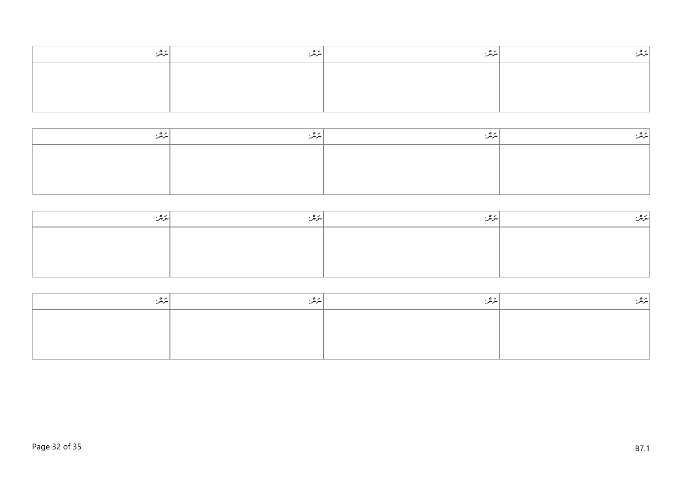| ير هو . | $\overline{\phantom{a}}$ | يرمر | اير هنه. |
|---------|--------------------------|------|----------|
|         |                          |      |          |
|         |                          |      |          |
|         |                          |      |          |

| ىر تىر: | $\circ$ $\sim$<br>" سرسر . | يترمير | o . |
|---------|----------------------------|--------|-----|
|         |                            |        |     |
|         |                            |        |     |
|         |                            |        |     |

| 'تترنثر: | ر ه |  |
|----------|-----|--|
|          |     |  |
|          |     |  |
|          |     |  |

|  | . ه |
|--|-----|
|  |     |
|  |     |
|  |     |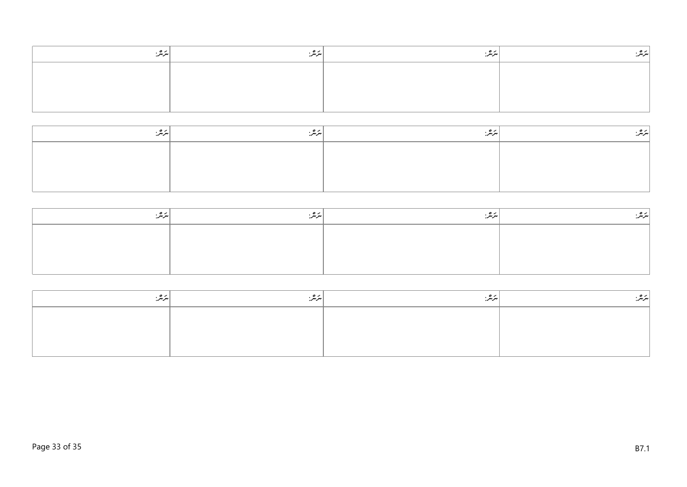| $\frac{\circ}{\cdot}$ | 。 | $\frac{\circ}{\cdot}$ | $\sim$<br>سرسر |
|-----------------------|---|-----------------------|----------------|
|                       |   |                       |                |
|                       |   |                       |                |
|                       |   |                       |                |

| ترتثر: | َ سرسر. |  |
|--------|---------|--|
|        |         |  |
|        |         |  |
|        |         |  |

| بر ه | . ه | $\overline{\phantom{0}}$<br>سرسر |  |
|------|-----|----------------------------------|--|
|      |     |                                  |  |
|      |     |                                  |  |
|      |     |                                  |  |

| 。<br>. س | ىرىىر |  |
|----------|-------|--|
|          |       |  |
|          |       |  |
|          |       |  |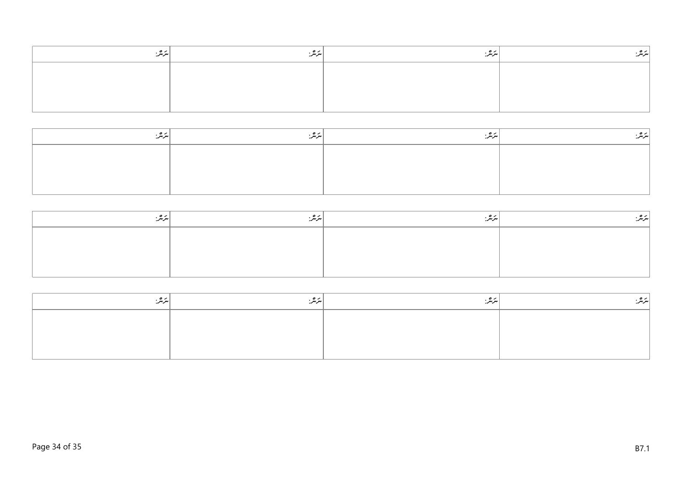| ير هو . | $\overline{\phantom{a}}$ | يرمر | اير هنه. |
|---------|--------------------------|------|----------|
|         |                          |      |          |
|         |                          |      |          |
|         |                          |      |          |

| ىر تىر: | $\circ$ $\sim$<br>" سرسر . | يترمير | o . |
|---------|----------------------------|--------|-----|
|         |                            |        |     |
|         |                            |        |     |
|         |                            |        |     |

| 'تترنثر: | ر ه |  |
|----------|-----|--|
|          |     |  |
|          |     |  |
|          |     |  |

|  | . ه |
|--|-----|
|  |     |
|  |     |
|  |     |